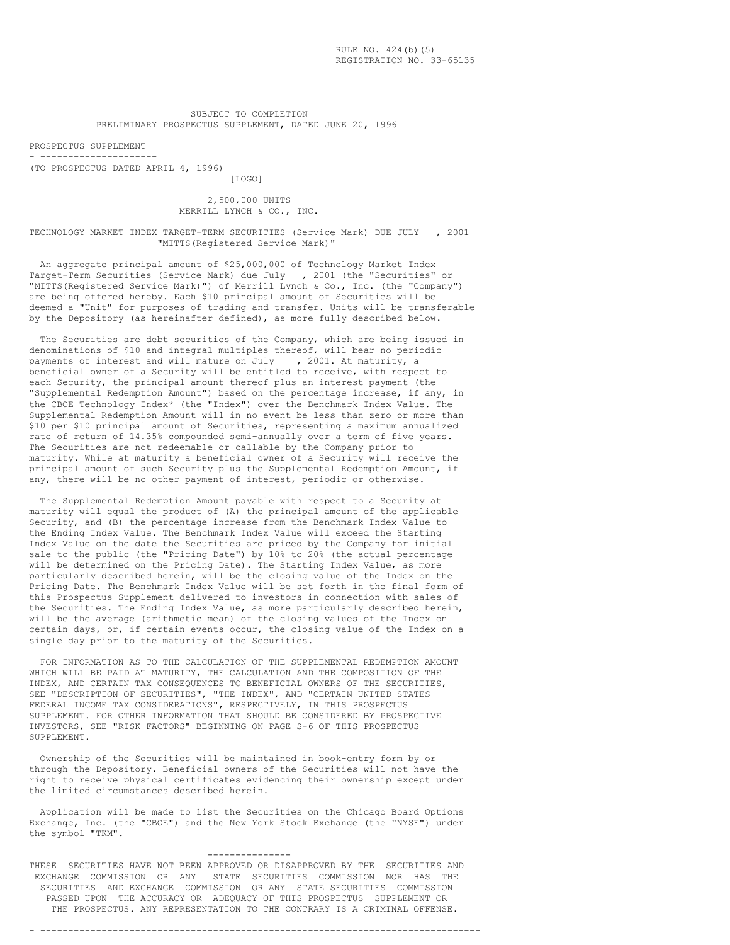SUBJECT TO COMPLETION PRELIMINARY PROSPECTUS SUPPLEMENT, DATED JUNE 20, 1996

PROSPECTUS SUPPLEMENT - ---------------------

(TO PROSPECTUS DATED APRIL 4, 1996)

[LOGO]

2,500,000 UNITS MERRILL LYNCH & CO., INC.

TECHNOLOGY MARKET INDEX TARGET-TERM SECURITIES (Service Mark) DUE JULY , 2001 "MITTS(Registered Service Mark)"

An aggregate principal amount of \$25,000,000 of Technology Market Index Target-Term Securities (Service Mark) due July , 2001 (the "Securities" or "MITTS(Registered Service Mark)") of Merrill Lynch & Co., Inc. (the "Company") are being offered hereby. Each \$10 principal amount of Securities will be deemed a "Unit" for purposes of trading and transfer. Units will be transferable by the Depository (as hereinafter defined), as more fully described below.

The Securities are debt securities of the Company, which are being issued in denominations of \$10 and integral multiples thereof, will bear no periodic payments of interest and will mature on July , 2001. At maturity, a beneficial owner of a Security will be entitled to receive, with respect to each Security, the principal amount thereof plus an interest payment (the "Supplemental Redemption Amount") based on the percentage increase, if any, in the CBOE Technology Index\* (the "Index") over the Benchmark Index Value. The Supplemental Redemption Amount will in no event be less than zero or more than \$10 per \$10 principal amount of Securities, representing a maximum annualized rate of return of 14.35% compounded semi-annually over a term of five years. The Securities are not redeemable or callable by the Company prior to maturity. While at maturity a beneficial owner of a Security will receive the principal amount of such Security plus the Supplemental Redemption Amount, if any, there will be no other payment of interest, periodic or otherwise.

The Supplemental Redemption Amount payable with respect to a Security at maturity will equal the product of (A) the principal amount of the applicable Security, and (B) the percentage increase from the Benchmark Index Value to the Ending Index Value. The Benchmark Index Value will exceed the Starting Index Value on the date the Securities are priced by the Company for initial sale to the public (the "Pricing Date") by 10% to 20% (the actual percentage will be determined on the Pricing Date). The Starting Index Value, as more particularly described herein, will be the closing value of the Index on the Pricing Date. The Benchmark Index Value will be set forth in the final form of this Prospectus Supplement delivered to investors in connection with sales of the Securities. The Ending Index Value, as more particularly described herein, will be the average (arithmetic mean) of the closing values of the Index on certain days, or, if certain events occur, the closing value of the Index on a single day prior to the maturity of the Securities.

FOR INFORMATION AS TO THE CALCULATION OF THE SUPPLEMENTAL REDEMPTION AMOUNT WHICH WILL BE PAID AT MATURITY, THE CALCULATION AND THE COMPOSITION OF THE INDEX, AND CERTAIN TAX CONSEQUENCES TO BENEFICIAL OWNERS OF THE SECURITIES, SEE "DESCRIPTION OF SECURITIES", "THE INDEX", AND "CERTAIN UNITED STATES FEDERAL INCOME TAX CONSIDERATIONS", RESPECTIVELY, IN THIS PROSPECTUS SUPPLEMENT. FOR OTHER INFORMATION THAT SHOULD BE CONSIDERED BY PROSPECTIVE INVESTORS, SEE "RISK FACTORS" BEGINNING ON PAGE S-6 OF THIS PROSPECTUS SUPPLEMENT.

Ownership of the Securities will be maintained in book-entry form by or through the Depository. Beneficial owners of the Securities will not have the right to receive physical certificates evidencing their ownership except under the limited circumstances described herein.

Application will be made to list the Securities on the Chicago Board Options Exchange, Inc. (the "CBOE") and the New York Stock Exchange (the "NYSE") under the symbol "TKM".

---------------

THESE SECURITIES HAVE NOT BEEN APPROVED OR DISAPPROVED BY THE SECURITIES AND EXCHANGE COMMISSION OR ANY STATE SECURITIES COMMISSION NOR HAS THE SECURITIES AND EXCHANGE COMMISSION OR ANY STATE SECURITIES COMMISSION PASSED UPON THE ACCURACY OR ADEQUACY OF THIS PROSPECTUS SUPPLEMENT OR THE PROSPECTUS. ANY REPRESENTATION TO THE CONTRARY IS A CRIMINAL OFFENSE.

# - -------------------------------------------------------------------------------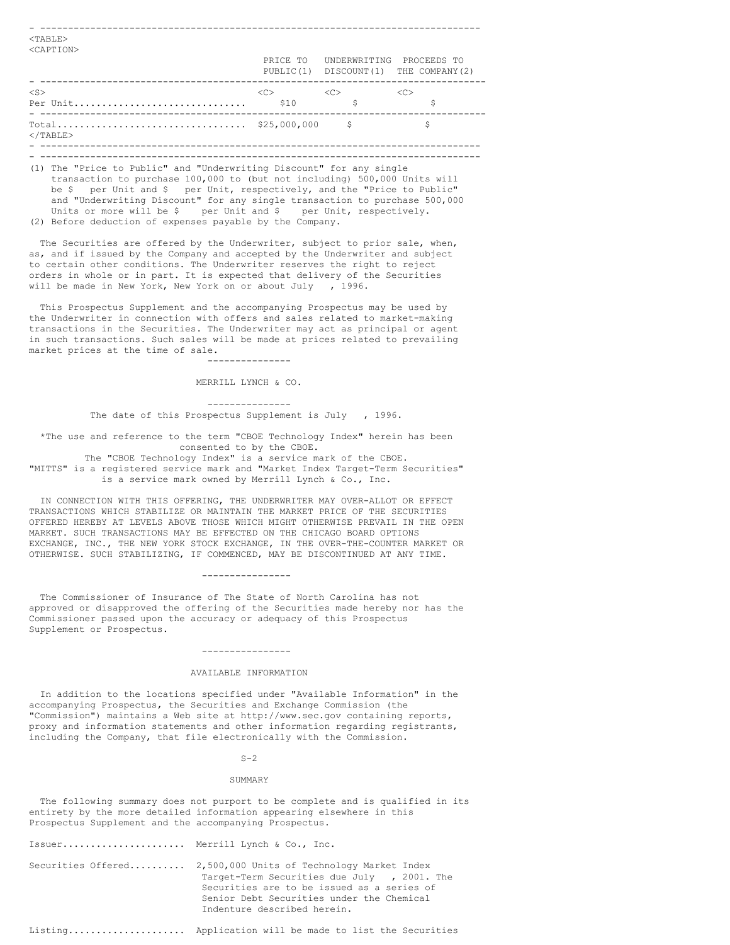| $<$ TABLE $>$<br><caption></caption> |                     |                                        |                                      |
|--------------------------------------|---------------------|----------------------------------------|--------------------------------------|
|                                      |                     | PRICE TO UNDERWRITING PROCEEDS TO      | PUBLIC(1) DISCOUNT(1) THE COMPANY(2) |
| $<$ S $>$                            | $\langle C \rangle$ | < <c><br/><math>\mathcal{S}</math></c> | $<<$ C $>$                           |
| $<$ /TABLE>                          |                     |                                        |                                      |
|                                      |                     |                                        |                                      |

(1) The "Price to Public" and "Underwriting Discount" for any single transaction to purchase 100,000 to (but not including) 500,000 Units will be \$ per Unit and \$ per Unit, respectively, and the "Price to Public" and "Underwriting Discount" for any single transaction to purchase 500,000 Units or more will be \$ per Unit and \$ per Unit, respectively. (2) Before deduction of expenses payable by the Company.

The Securities are offered by the Underwriter, subject to prior sale, when, as, and if issued by the Company and accepted by the Underwriter and subject to certain other conditions. The Underwriter reserves the right to reject orders in whole or in part. It is expected that delivery of the Securities will be made in New York, New York on or about July , 1996.

This Prospectus Supplement and the accompanying Prospectus may be used by the Underwriter in connection with offers and sales related to market-making transactions in the Securities. The Underwriter may act as principal or agent in such transactions. Such sales will be made at prices related to prevailing market prices at the time of sale.

> --------------- MERRILL LYNCH & CO.

--------------- The date of this Prospectus Supplement is July , 1996.

\*The use and reference to the term "CBOE Technology Index" herein has been consented to by the CBOE.

The "CBOE Technology Index" is a service mark of the CBOE. "MITTS" is a registered service mark and "Market Index Target-Term Securities" is a service mark owned by Merrill Lynch & Co., Inc.

IN CONNECTION WITH THIS OFFERING, THE UNDERWRITER MAY OVER-ALLOT OR EFFECT TRANSACTIONS WHICH STABILIZE OR MAINTAIN THE MARKET PRICE OF THE SECURITIES OFFERED HEREBY AT LEVELS ABOVE THOSE WHICH MIGHT OTHERWISE PREVAIL IN THE OPEN MARKET. SUCH TRANSACTIONS MAY BE EFFECTED ON THE CHICAGO BOARD OPTIONS EXCHANGE, INC., THE NEW YORK STOCK EXCHANGE, IN THE OVER-THE-COUNTER MARKET OR OTHERWISE. SUCH STABILIZING, IF COMMENCED, MAY BE DISCONTINUED AT ANY TIME.

----------------

The Commissioner of Insurance of The State of North Carolina has not approved or disapproved the offering of the Securities made hereby nor has the Commissioner passed upon the accuracy or adequacy of this Prospectus Supplement or Prospectus.

# ----------------

### AVAILABLE INFORMATION

In addition to the locations specified under "Available Information" in the accompanying Prospectus, the Securities and Exchange Commission (the "Commission") maintains a Web site at http://www.sec.gov containing reports, proxy and information statements and other information regarding registrants, including the Company, that file electronically with the Commission.

#### $S-2$

#### SUMMARY

The following summary does not purport to be complete and is qualified in its entirety by the more detailed information appearing elsewhere in this Prospectus Supplement and the accompanying Prospectus.

| Issuer Merrill Lynch & Co., Inc. |                                                                                                                                                                                                                                        |
|----------------------------------|----------------------------------------------------------------------------------------------------------------------------------------------------------------------------------------------------------------------------------------|
|                                  | Securities Offered 2,500,000 Units of Technology Market Index<br>Target-Term Securities due July , 2001. The<br>Securities are to be issued as a series of<br>Senior Debt Securities under the Chemical<br>Indenture described herein. |

Listing..................... Application will be made to list the Securities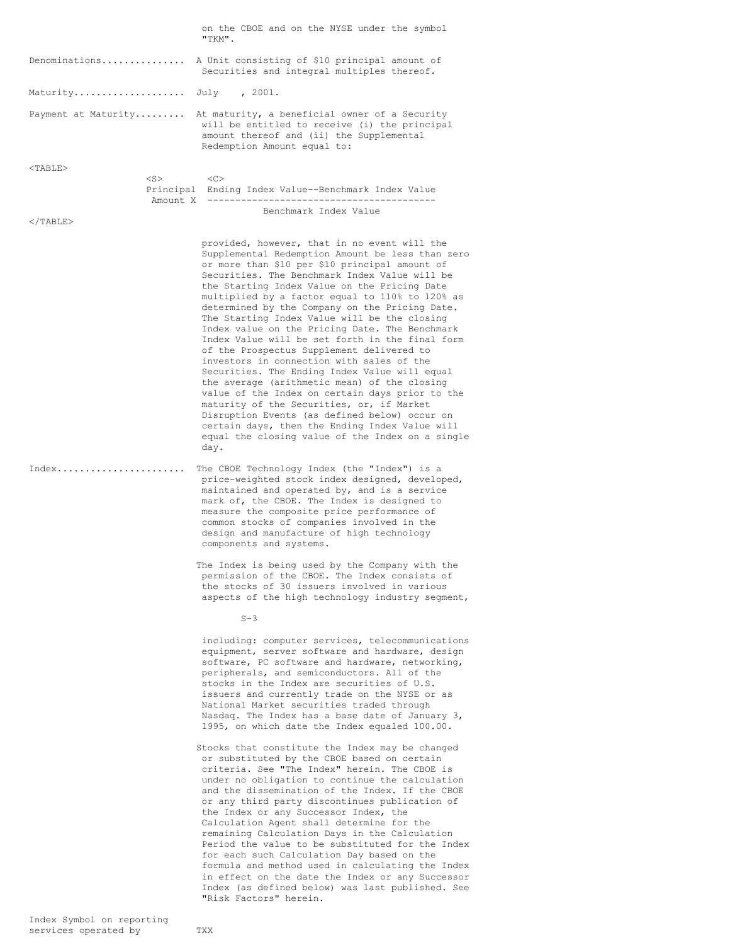|                       | on the CBOE and on the NYSE under the symbol<br>"TKM".                                                                                                                                                                                                                                                                                                                                                                                                                                                                                                                                                                                                                                                                                                                                                                                                                                                                                                                  |
|-----------------------|-------------------------------------------------------------------------------------------------------------------------------------------------------------------------------------------------------------------------------------------------------------------------------------------------------------------------------------------------------------------------------------------------------------------------------------------------------------------------------------------------------------------------------------------------------------------------------------------------------------------------------------------------------------------------------------------------------------------------------------------------------------------------------------------------------------------------------------------------------------------------------------------------------------------------------------------------------------------------|
| Denominations         | A Unit consisting of \$10 principal amount of<br>Securities and integral multiples thereof.                                                                                                                                                                                                                                                                                                                                                                                                                                                                                                                                                                                                                                                                                                                                                                                                                                                                             |
| Maturity July , 2001. |                                                                                                                                                                                                                                                                                                                                                                                                                                                                                                                                                                                                                                                                                                                                                                                                                                                                                                                                                                         |
| Payment at Maturity   | At maturity, a beneficial owner of a Security<br>will be entitled to receive (i) the principal<br>amount thereof and (ii) the Supplemental<br>Redemption Amount equal to:                                                                                                                                                                                                                                                                                                                                                                                                                                                                                                                                                                                                                                                                                                                                                                                               |
| $<$ TABLE>            |                                                                                                                                                                                                                                                                                                                                                                                                                                                                                                                                                                                                                                                                                                                                                                                                                                                                                                                                                                         |
| $<$ S $>$             | <<<br>Principal Ending Index Value--Benchmark Index Value                                                                                                                                                                                                                                                                                                                                                                                                                                                                                                                                                                                                                                                                                                                                                                                                                                                                                                               |
| $\langle$ /TABLE>     | Benchmark Index Value                                                                                                                                                                                                                                                                                                                                                                                                                                                                                                                                                                                                                                                                                                                                                                                                                                                                                                                                                   |
|                       | provided, however, that in no event will the<br>Supplemental Redemption Amount be less than zero<br>or more than \$10 per \$10 principal amount of<br>Securities. The Benchmark Index Value will be<br>the Starting Index Value on the Pricing Date<br>multiplied by a factor equal to 110% to 120% as<br>determined by the Company on the Pricing Date.<br>The Starting Index Value will be the closing<br>Index value on the Pricing Date. The Benchmark<br>Index Value will be set forth in the final form<br>of the Prospectus Supplement delivered to<br>investors in connection with sales of the<br>Securities. The Ending Index Value will equal<br>the average (arithmetic mean) of the closing<br>value of the Index on certain days prior to the<br>maturity of the Securities, or, if Market<br>Disruption Events (as defined below) occur on<br>certain days, then the Ending Index Value will<br>equal the closing value of the Index on a single<br>day. |
| Index                 | The CBOE Technology Index (the "Index") is a<br>price-weighted stock index designed, developed,<br>maintained and operated by, and is a service<br>mark of, the CBOE. The Index is designed to<br>measure the composite price performance of<br>common stocks of companies involved in the<br>design and manufacture of high technology<br>components and systems.                                                                                                                                                                                                                                                                                                                                                                                                                                                                                                                                                                                                      |
|                       | The Index is being used by the Company with the<br>permission of the CBOE. The Index consists of<br>the stocks of 30 issuers involved in various<br>aspects of the high technology industry segment,                                                                                                                                                                                                                                                                                                                                                                                                                                                                                                                                                                                                                                                                                                                                                                    |
|                       | $S-3$                                                                                                                                                                                                                                                                                                                                                                                                                                                                                                                                                                                                                                                                                                                                                                                                                                                                                                                                                                   |
|                       | including: computer services, telecommunications<br>equipment, server software and hardware, design<br>software, PC software and hardware, networking,<br>peripherals, and semiconductors. All of the<br>stocks in the Index are securities of U.S.<br>issuers and currently trade on the NYSE or as<br>National Market securities traded through<br>Nasdaq. The Index has a base date of January 3,<br>1995, on which date the Index equaled 100.00.                                                                                                                                                                                                                                                                                                                                                                                                                                                                                                                   |
|                       | Stocks that constitute the Index may be changed<br>or substituted by the CBOE based on certain<br>criteria. See "The Index" herein. The CBOE is<br>under no obligation to continue the calculation<br>and the dissemination of the Index. If the CBOE<br>or any third party discontinues publication of<br>the Index or any Successor Index, the<br>Calculation Agent shall determine for the<br>remaining Calculation Days in the Calculation<br>Period the value to be substituted for the Index<br>for each such Calculation Day based on the<br>formula and method used in calculating the Index<br>in effect on the date the Index or any Successor<br>Index (as defined below) was last published. See<br>"Risk Factors" herein.                                                                                                                                                                                                                                  |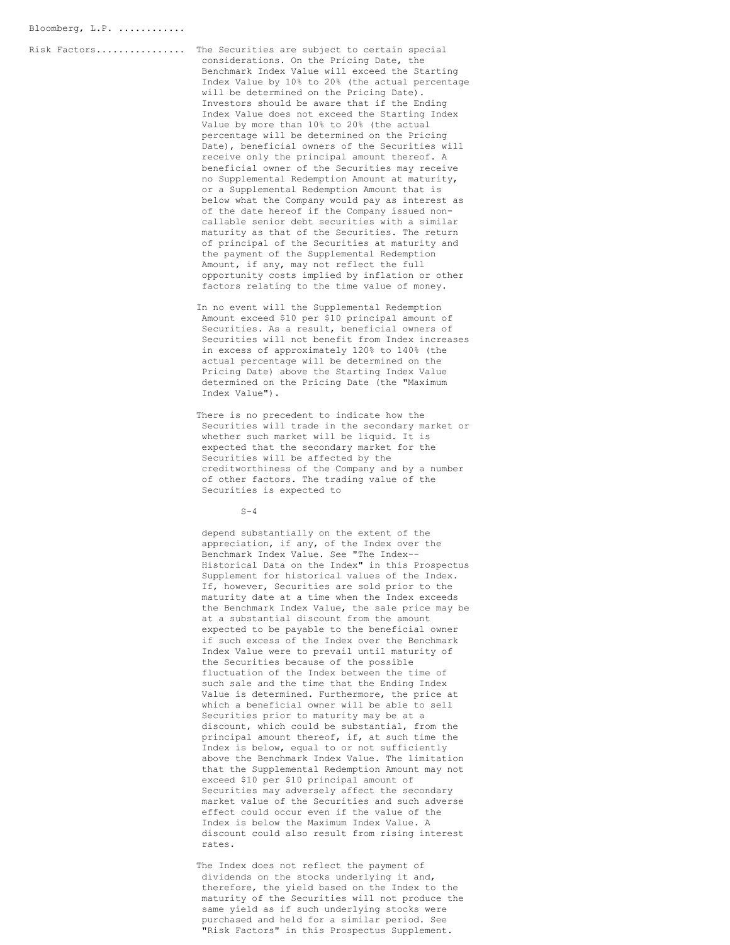Risk Factors................ The Securities are subject to certain special

considerations. On the Pricing Date, the Benchmark Index Value will exceed the Starting Index Value by 10% to 20% (the actual percentage will be determined on the Pricing Date). Investors should be aware that if the Ending Index Value does not exceed the Starting Index Value by more than 10% to 20% (the actual percentage will be determined on the Pricing Date), beneficial owners of the Securities will receive only the principal amount thereof. A beneficial owner of the Securities may receive no Supplemental Redemption Amount at maturity, or a Supplemental Redemption Amount that is below what the Company would pay as interest as of the date hereof if the Company issued noncallable senior debt securities with a similar maturity as that of the Securities. The return of principal of the Securities at maturity and the payment of the Supplemental Redemption Amount, if any, may not reflect the full opportunity costs implied by inflation or other factors relating to the time value of money.

In no event will the Supplemental Redemption Amount exceed \$10 per \$10 principal amount of Securities. As a result, beneficial owners of Securities will not benefit from Index increases in excess of approximately 120% to 140% (the actual percentage will be determined on the Pricing Date) above the Starting Index Value determined on the Pricing Date (the "Maximum Index Value").

There is no precedent to indicate how the Securities will trade in the secondary market or whether such market will be liquid. It is expected that the secondary market for the Securities will be affected by the creditworthiness of the Company and by a number of other factors. The trading value of the Securities is expected to

 $S-4$ 

depend substantially on the extent of the appreciation, if any, of the Index over the Benchmark Index Value. See "The Index-- Historical Data on the Index" in this Prospectus Supplement for historical values of the Index. If, however, Securities are sold prior to the maturity date at a time when the Index exceeds the Benchmark Index Value, the sale price may be at a substantial discount from the amount expected to be payable to the beneficial owner if such excess of the Index over the Benchmark Index Value were to prevail until maturity of the Securities because of the possible fluctuation of the Index between the time of such sale and the time that the Ending Index Value is determined. Furthermore, the price at which a beneficial owner will be able to sell Securities prior to maturity may be at a discount, which could be substantial, from the principal amount thereof, if, at such time the Index is below, equal to or not sufficiently above the Benchmark Index Value. The limitation that the Supplemental Redemption Amount may not exceed \$10 per \$10 principal amount of Securities may adversely affect the secondary market value of the Securities and such adverse effect could occur even if the value of the Index is below the Maximum Index Value. A discount could also result from rising interest rates.

The Index does not reflect the payment of dividends on the stocks underlying it and, therefore, the yield based on the Index to the maturity of the Securities will not produce the same yield as if such underlying stocks were purchased and held for a similar period. See "Risk Factors" in this Prospectus Supplement.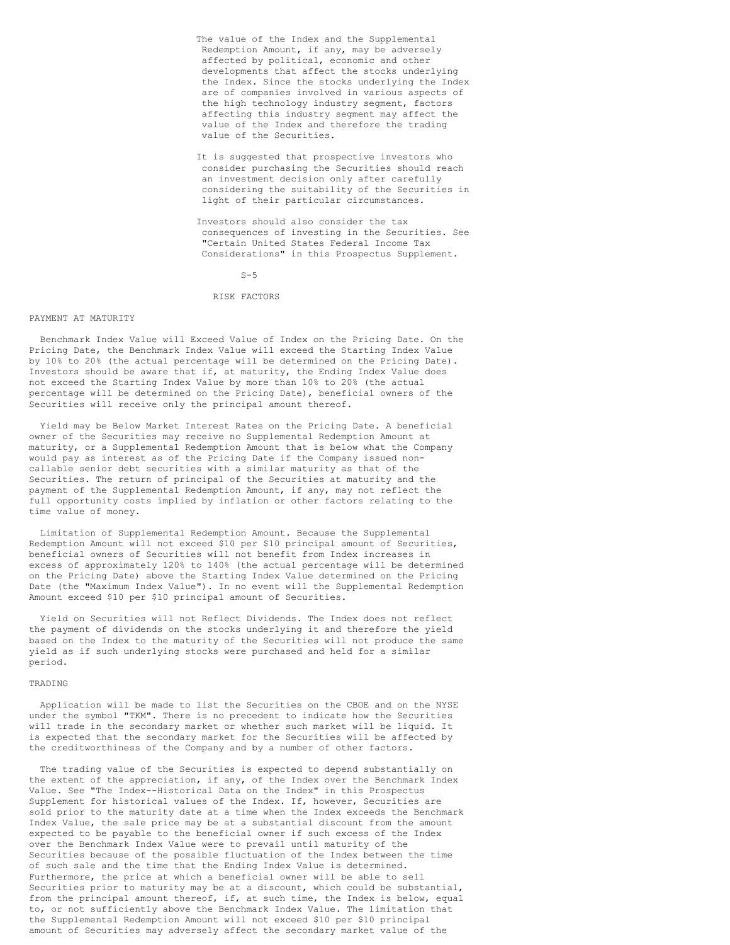- The value of the Index and the Supplemental Redemption Amount, if any, may be adversely affected by political, economic and other developments that affect the stocks underlying the Index. Since the stocks underlying the Index are of companies involved in various aspects of the high technology industry segment, factors affecting this industry segment may affect the value of the Index and therefore the trading value of the Securities.
- It is suggested that prospective investors who consider purchasing the Securities should reach an investment decision only after carefully considering the suitability of the Securities in light of their particular circumstances.
- Investors should also consider the tax consequences of investing in the Securities. See "Certain United States Federal Income Tax Considerations" in this Prospectus Supplement.

 $S-5$ 

## RISK FACTORS

### PAYMENT AT MATURITY

Benchmark Index Value will Exceed Value of Index on the Pricing Date. On the Pricing Date, the Benchmark Index Value will exceed the Starting Index Value by 10% to 20% (the actual percentage will be determined on the Pricing Date). Investors should be aware that if, at maturity, the Ending Index Value does not exceed the Starting Index Value by more than 10% to 20% (the actual percentage will be determined on the Pricing Date), beneficial owners of the Securities will receive only the principal amount thereof.

Yield may be Below Market Interest Rates on the Pricing Date. A beneficial owner of the Securities may receive no Supplemental Redemption Amount at maturity, or a Supplemental Redemption Amount that is below what the Company would pay as interest as of the Pricing Date if the Company issued noncallable senior debt securities with a similar maturity as that of the Securities. The return of principal of the Securities at maturity and the payment of the Supplemental Redemption Amount, if any, may not reflect the full opportunity costs implied by inflation or other factors relating to the time value of money.

Limitation of Supplemental Redemption Amount. Because the Supplemental Redemption Amount will not exceed \$10 per \$10 principal amount of Securities, beneficial owners of Securities will not benefit from Index increases in excess of approximately 120% to 140% (the actual percentage will be determined on the Pricing Date) above the Starting Index Value determined on the Pricing Date (the "Maximum Index Value"). In no event will the Supplemental Redemption Amount exceed \$10 per \$10 principal amount of Securities.

Yield on Securities will not Reflect Dividends. The Index does not reflect the payment of dividends on the stocks underlying it and therefore the yield based on the Index to the maturity of the Securities will not produce the same yield as if such underlying stocks were purchased and held for a similar period.

## TRADING

Application will be made to list the Securities on the CBOE and on the NYSE under the symbol "TKM". There is no precedent to indicate how the Securities will trade in the secondary market or whether such market will be liquid. It is expected that the secondary market for the Securities will be affected by the creditworthiness of the Company and by a number of other factors.

The trading value of the Securities is expected to depend substantially on the extent of the appreciation, if any, of the Index over the Benchmark Index Value. See "The Index--Historical Data on the Index" in this Prospectus Supplement for historical values of the Index. If, however, Securities are sold prior to the maturity date at a time when the Index exceeds the Benchmark Index Value, the sale price may be at a substantial discount from the amount expected to be payable to the beneficial owner if such excess of the Index over the Benchmark Index Value were to prevail until maturity of the Securities because of the possible fluctuation of the Index between the time of such sale and the time that the Ending Index Value is determined. Furthermore, the price at which a beneficial owner will be able to sell Securities prior to maturity may be at a discount, which could be substantial, from the principal amount thereof, if, at such time, the Index is below, equal to, or not sufficiently above the Benchmark Index Value. The limitation that the Supplemental Redemption Amount will not exceed \$10 per \$10 principal amount of Securities may adversely affect the secondary market value of the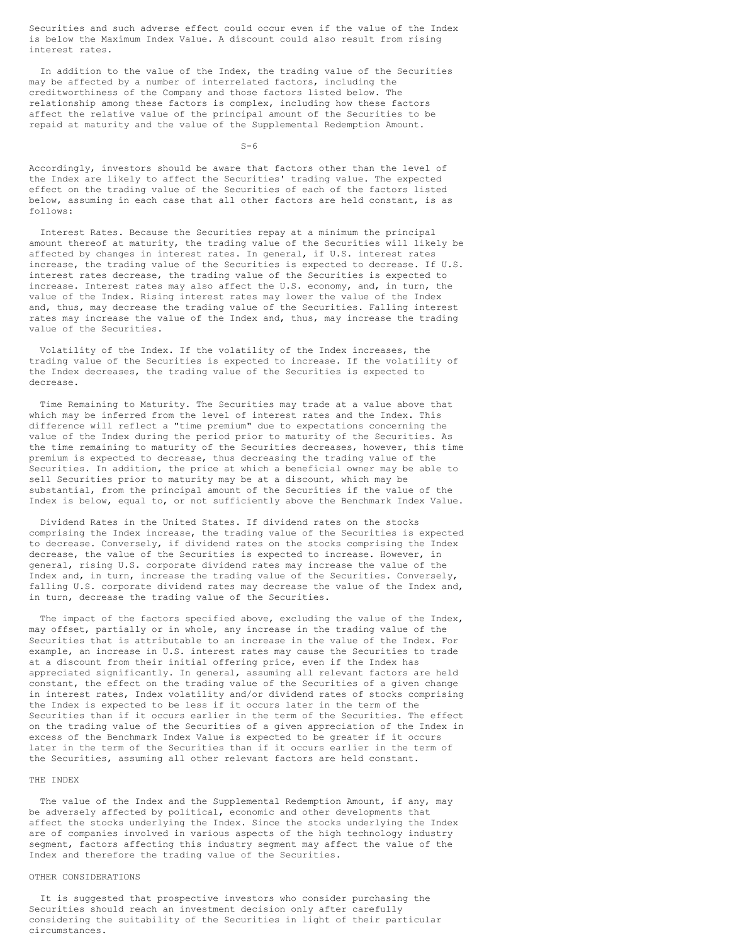Securities and such adverse effect could occur even if the value of the Index is below the Maximum Index Value. A discount could also result from rising interest rates.

In addition to the value of the Index, the trading value of the Securities may be affected by a number of interrelated factors, including the creditworthiness of the Company and those factors listed below. The relationship among these factors is complex, including how these factors affect the relative value of the principal amount of the Securities to be repaid at maturity and the value of the Supplemental Redemption Amount.

 $S-6$ 

Accordingly, investors should be aware that factors other than the level of the Index are likely to affect the Securities' trading value. The expected effect on the trading value of the Securities of each of the factors listed below, assuming in each case that all other factors are held constant, is as follows:

Interest Rates. Because the Securities repay at a minimum the principal amount thereof at maturity, the trading value of the Securities will likely be affected by changes in interest rates. In general, if U.S. interest rates increase, the trading value of the Securities is expected to decrease. If U.S. interest rates decrease, the trading value of the Securities is expected to increase. Interest rates may also affect the U.S. economy, and, in turn, the value of the Index. Rising interest rates may lower the value of the Index and, thus, may decrease the trading value of the Securities. Falling interest rates may increase the value of the Index and, thus, may increase the trading value of the Securities.

Volatility of the Index. If the volatility of the Index increases, the trading value of the Securities is expected to increase. If the volatility of the Index decreases, the trading value of the Securities is expected to decrease.

Time Remaining to Maturity. The Securities may trade at a value above that which may be inferred from the level of interest rates and the Index. This difference will reflect a "time premium" due to expectations concerning the value of the Index during the period prior to maturity of the Securities. As the time remaining to maturity of the Securities decreases, however, this time premium is expected to decrease, thus decreasing the trading value of the Securities. In addition, the price at which a beneficial owner may be able to sell Securities prior to maturity may be at a discount, which may be substantial, from the principal amount of the Securities if the value of the Index is below, equal to, or not sufficiently above the Benchmark Index Value.

Dividend Rates in the United States. If dividend rates on the stocks comprising the Index increase, the trading value of the Securities is expected to decrease. Conversely, if dividend rates on the stocks comprising the Index decrease, the value of the Securities is expected to increase. However, in general, rising U.S. corporate dividend rates may increase the value of the Index and, in turn, increase the trading value of the Securities. Conversely, falling U.S. corporate dividend rates may decrease the value of the Index and, in turn, decrease the trading value of the Securities.

The impact of the factors specified above, excluding the value of the Index, may offset, partially or in whole, any increase in the trading value of the Securities that is attributable to an increase in the value of the Index. For example, an increase in U.S. interest rates may cause the Securities to trade at a discount from their initial offering price, even if the Index has appreciated significantly. In general, assuming all relevant factors are held constant, the effect on the trading value of the Securities of a given change in interest rates, Index volatility and/or dividend rates of stocks comprising the Index is expected to be less if it occurs later in the term of the Securities than if it occurs earlier in the term of the Securities. The effect on the trading value of the Securities of a given appreciation of the Index in excess of the Benchmark Index Value is expected to be greater if it occurs later in the term of the Securities than if it occurs earlier in the term of the Securities, assuming all other relevant factors are held constant.

### THE INDEX

The value of the Index and the Supplemental Redemption Amount, if any, may be adversely affected by political, economic and other developments that affect the stocks underlying the Index. Since the stocks underlying the Index are of companies involved in various aspects of the high technology industry segment, factors affecting this industry segment may affect the value of the Index and therefore the trading value of the Securities.

## OTHER CONSIDERATIONS

It is suggested that prospective investors who consider purchasing the Securities should reach an investment decision only after carefully considering the suitability of the Securities in light of their particular circumstances.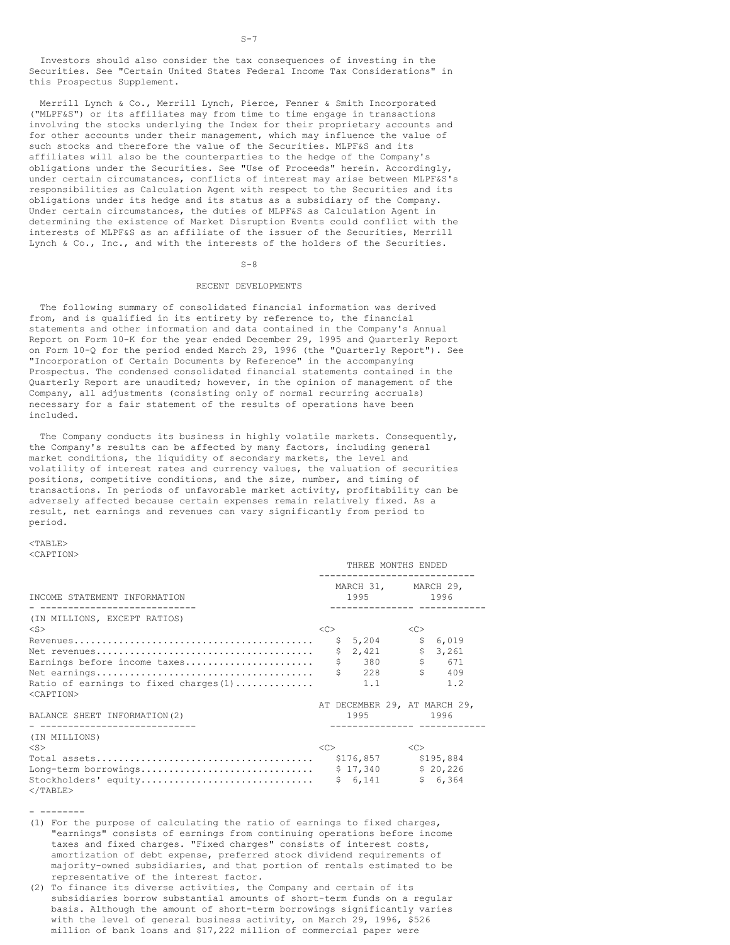Investors should also consider the tax consequences of investing in the Securities. See "Certain United States Federal Income Tax Considerations" in this Prospectus Supplement.

Merrill Lynch & Co., Merrill Lynch, Pierce, Fenner & Smith Incorporated ("MLPF&S") or its affiliates may from time to time engage in transactions involving the stocks underlying the Index for their proprietary accounts and for other accounts under their management, which may influence the value of such stocks and therefore the value of the Securities. MLPF&S and its affiliates will also be the counterparties to the hedge of the Company's obligations under the Securities. See "Use of Proceeds" herein. Accordingly, under certain circumstances, conflicts of interest may arise between MLPF&S's responsibilities as Calculation Agent with respect to the Securities and its obligations under its hedge and its status as a subsidiary of the Company. Under certain circumstances, the duties of MLPF&S as Calculation Agent in determining the existence of Market Disruption Events could conflict with the interests of MLPF&S as an affiliate of the issuer of the Securities, Merrill Lynch & Co., Inc., and with the interests of the holders of the Securities.

#### $S-8$

#### RECENT DEVELOPMENTS

The following summary of consolidated financial information was derived from, and is qualified in its entirety by reference to, the financial statements and other information and data contained in the Company's Annual Report on Form 10-K for the year ended December 29, 1995 and Quarterly Report on Form 10-Q for the period ended March 29, 1996 (the "Quarterly Report"). See "Incorporation of Certain Documents by Reference" in the accompanying Prospectus. The condensed consolidated financial statements contained in the Quarterly Report are unaudited; however, in the opinion of management of the Company, all adjustments (consisting only of normal recurring accruals) necessary for a fair statement of the results of operations have been included.

The Company conducts its business in highly volatile markets. Consequently, the Company's results can be affected by many factors, including general market conditions, the liquidity of secondary markets, the level and volatility of interest rates and currency values, the valuation of securities positions, competitive conditions, and the size, number, and timing of transactions. In periods of unfavorable market activity, profitability can be adversely affected because certain expenses remain relatively fixed. As a result, net earnings and revenues can vary significantly from period to period.

### $<sub>TAPER></sub>$ </sub> <CAPTION>

|                                                                 |    |    | THREE MONTHS ENDED |  |                                  |                                                                   |  |
|-----------------------------------------------------------------|----|----|--------------------|--|----------------------------------|-------------------------------------------------------------------|--|
| INCOME STATEMENT INFORMATION                                    |    |    |                    |  | MARCH 31, MARCH 29,<br>1995 1996 |                                                                   |  |
| (IN MILLIONS, EXCEPT RATIOS)<br>$<$ S $>$                       | << |    |                    |  | <<                               |                                                                   |  |
|                                                                 |    |    | \$5,204            |  | \$                               | 6,019                                                             |  |
|                                                                 |    | \$ | 2,421              |  | \$                               | 3,261                                                             |  |
| Earnings before income taxes                                    |    | \$ | 380                |  | \$                               | 671                                                               |  |
|                                                                 |    |    | 228                |  |                                  | 409                                                               |  |
| Ratio of earnings to fixed charges $(1)$<br><caption></caption> |    |    | 1.1                |  |                                  | 1.2                                                               |  |
| BALANCE SHEET INFORMATION (2)                                   |    |    |                    |  |                                  | AT DECEMBER 29, AT MARCH 29,<br>1995 1996<br>------------ ------- |  |
| (IN MILLIONS)                                                   |    |    |                    |  |                                  |                                                                   |  |
| $<$ S $>$                                                       | << |    |                    |  | <<                               |                                                                   |  |
|                                                                 |    |    | \$176,857          |  |                                  | \$195,884                                                         |  |
| Long-term borrowings                                            |    |    | \$17,340           |  |                                  | \$20,226                                                          |  |
| Stockholders' equity<br>$<$ /TABLE>                             |    |    | \$6,141            |  |                                  | \$6,364                                                           |  |

- --------

- (1) For the purpose of calculating the ratio of earnings to fixed charges, "earnings" consists of earnings from continuing operations before income taxes and fixed charges. "Fixed charges" consists of interest costs, amortization of debt expense, preferred stock dividend requirements of majority-owned subsidiaries, and that portion of rentals estimated to be representative of the interest factor.
- (2) To finance its diverse activities, the Company and certain of its subsidiaries borrow substantial amounts of short-term funds on a regular basis. Although the amount of short-term borrowings significantly varies with the level of general business activity, on March 29, 1996, \$526 million of bank loans and \$17,222 million of commercial paper were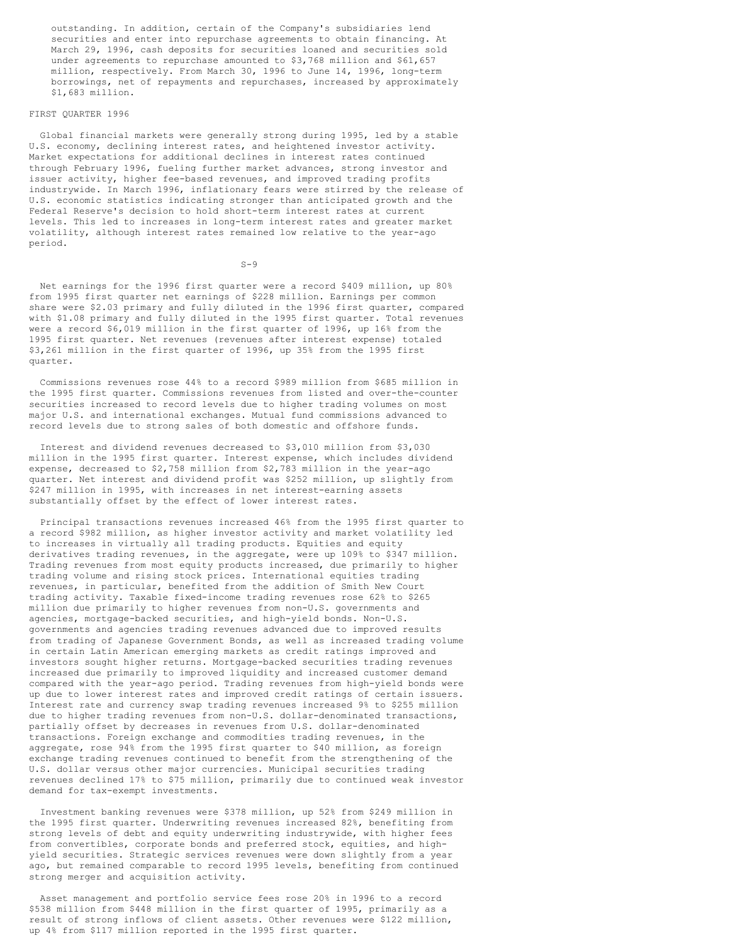outstanding. In addition, certain of the Company's subsidiaries lend securities and enter into repurchase agreements to obtain financing. At March 29, 1996, cash deposits for securities loaned and securities sold under agreements to repurchase amounted to \$3,768 million and \$61,657 million, respectively. From March 30, 1996 to June 14, 1996, long-term borrowings, net of repayments and repurchases, increased by approximately \$1,683 million.

# FIRST QUARTER 1996

Global financial markets were generally strong during 1995, led by a stable U.S. economy, declining interest rates, and heightened investor activity. Market expectations for additional declines in interest rates continued through February 1996, fueling further market advances, strong investor and issuer activity, higher fee-based revenues, and improved trading profits industrywide. In March 1996, inflationary fears were stirred by the release of U.S. economic statistics indicating stronger than anticipated growth and the Federal Reserve's decision to hold short-term interest rates at current levels. This led to increases in long-term interest rates and greater market volatility, although interest rates remained low relative to the year-ago period.

 $S-9$ 

Net earnings for the 1996 first quarter were a record \$409 million, up 80% from 1995 first quarter net earnings of \$228 million. Earnings per common share were \$2.03 primary and fully diluted in the 1996 first quarter, compared with \$1.08 primary and fully diluted in the 1995 first quarter. Total revenues were a record \$6,019 million in the first quarter of 1996, up 16% from the 1995 first quarter. Net revenues (revenues after interest expense) totaled \$3,261 million in the first quarter of 1996, up 35% from the 1995 first quarter.

Commissions revenues rose 44% to a record \$989 million from \$685 million in the 1995 first quarter. Commissions revenues from listed and over-the-counter securities increased to record levels due to higher trading volumes on most major U.S. and international exchanges. Mutual fund commissions advanced to record levels due to strong sales of both domestic and offshore funds.

Interest and dividend revenues decreased to \$3,010 million from \$3,030 million in the 1995 first quarter. Interest expense, which includes dividend expense, decreased to \$2,758 million from \$2,783 million in the year-ago quarter. Net interest and dividend profit was \$252 million, up slightly from \$247 million in 1995, with increases in net interest-earning assets substantially offset by the effect of lower interest rates.

Principal transactions revenues increased 46% from the 1995 first quarter to a record \$982 million, as higher investor activity and market volatility led to increases in virtually all trading products. Equities and equity derivatives trading revenues, in the aggregate, were up 109% to \$347 million. Trading revenues from most equity products increased, due primarily to higher trading volume and rising stock prices. International equities trading revenues, in particular, benefited from the addition of Smith New Court trading activity. Taxable fixed-income trading revenues rose 62% to \$265 million due primarily to higher revenues from non-U.S. governments and agencies, mortgage-backed securities, and high-yield bonds. Non-U.S. governments and agencies trading revenues advanced due to improved results from trading of Japanese Government Bonds, as well as increased trading volume in certain Latin American emerging markets as credit ratings improved and investors sought higher returns. Mortgage-backed securities trading revenues increased due primarily to improved liquidity and increased customer demand compared with the year-ago period. Trading revenues from high-yield bonds were up due to lower interest rates and improved credit ratings of certain issuers. Interest rate and currency swap trading revenues increased 9% to \$255 million due to higher trading revenues from non-U.S. dollar-denominated transactions, partially offset by decreases in revenues from U.S. dollar-denominated transactions. Foreign exchange and commodities trading revenues, in the aggregate, rose 94% from the 1995 first quarter to \$40 million, as foreign exchange trading revenues continued to benefit from the strengthening of the U.S. dollar versus other major currencies. Municipal securities trading revenues declined 17% to \$75 million, primarily due to continued weak investor demand for tax-exempt investments.

Investment banking revenues were \$378 million, up 52% from \$249 million in the 1995 first quarter. Underwriting revenues increased 82%, benefiting from strong levels of debt and equity underwriting industrywide, with higher fees from convertibles, corporate bonds and preferred stock, equities, and highyield securities. Strategic services revenues were down slightly from a year ago, but remained comparable to record 1995 levels, benefiting from continued strong merger and acquisition activity.

Asset management and portfolio service fees rose 20% in 1996 to a record \$538 million from \$448 million in the first quarter of 1995, primarily as a result of strong inflows of client assets. Other revenues were \$122 million, up 4% from \$117 million reported in the 1995 first quarter.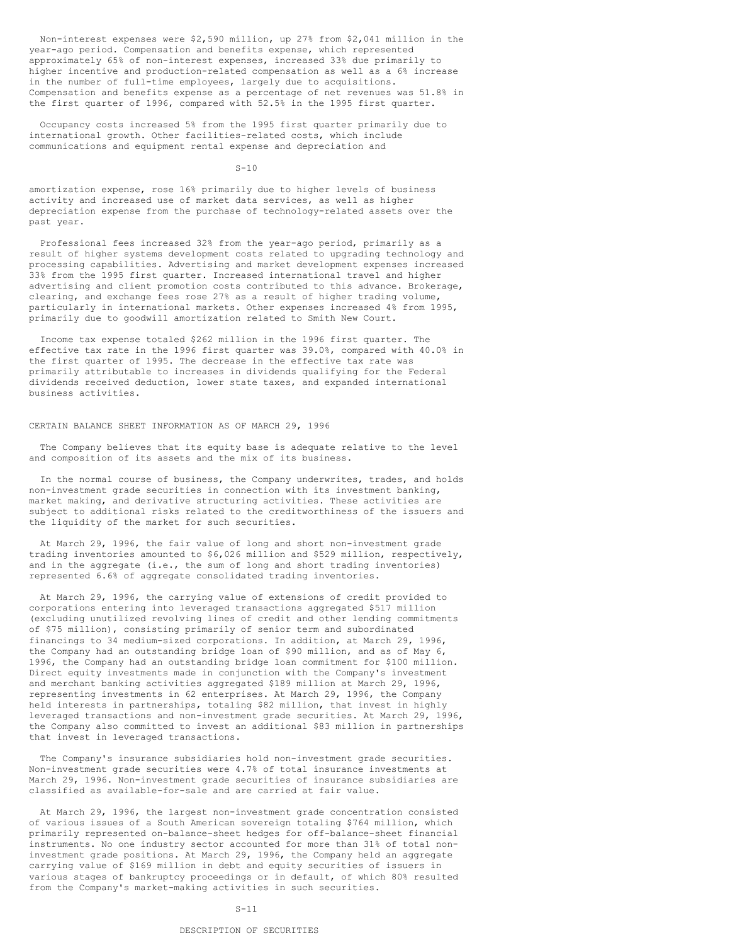Non-interest expenses were \$2,590 million, up 27% from \$2,041 million in the year-ago period. Compensation and benefits expense, which represented approximately 65% of non-interest expenses, increased 33% due primarily to higher incentive and production-related compensation as well as a 6% increase in the number of full-time employees, largely due to acquisitions. Compensation and benefits expense as a percentage of net revenues was 51.8% in the first quarter of 1996, compared with 52.5% in the 1995 first quarter.

Occupancy costs increased 5% from the 1995 first quarter primarily due to international growth. Other facilities-related costs, which include communications and equipment rental expense and depreciation and

 $S-10$ 

amortization expense, rose 16% primarily due to higher levels of business activity and increased use of market data services, as well as higher depreciation expense from the purchase of technology-related assets over the past year.

Professional fees increased 32% from the year-ago period, primarily as a result of higher systems development costs related to upgrading technology and processing capabilities. Advertising and market development expenses increased 33% from the 1995 first quarter. Increased international travel and higher advertising and client promotion costs contributed to this advance. Brokerage, clearing, and exchange fees rose 27% as a result of higher trading volume, particularly in international markets. Other expenses increased 4% from 1995, primarily due to goodwill amortization related to Smith New Court.

Income tax expense totaled \$262 million in the 1996 first quarter. The effective tax rate in the 1996 first quarter was 39.0%, compared with 40.0% in the first quarter of 1995. The decrease in the effective tax rate was primarily attributable to increases in dividends qualifying for the Federal dividends received deduction, lower state taxes, and expanded international business activities.

## CERTAIN BALANCE SHEET INFORMATION AS OF MARCH 29, 1996

The Company believes that its equity base is adequate relative to the level and composition of its assets and the mix of its business.

In the normal course of business, the Company underwrites, trades, and holds non-investment grade securities in connection with its investment banking, market making, and derivative structuring activities. These activities are subject to additional risks related to the creditworthiness of the issuers and the liquidity of the market for such securities.

At March 29, 1996, the fair value of long and short non-investment grade trading inventories amounted to \$6,026 million and \$529 million, respectively, and in the aggregate (i.e., the sum of long and short trading inventories) represented 6.6% of aggregate consolidated trading inventories.

At March 29, 1996, the carrying value of extensions of credit provided to corporations entering into leveraged transactions aggregated \$517 million (excluding unutilized revolving lines of credit and other lending commitments of \$75 million), consisting primarily of senior term and subordinated financings to 34 medium-sized corporations. In addition, at March 29, 1996, the Company had an outstanding bridge loan of \$90 million, and as of May 6, 1996, the Company had an outstanding bridge loan commitment for \$100 million. Direct equity investments made in conjunction with the Company's investment and merchant banking activities aggregated \$189 million at March 29, 1996, representing investments in 62 enterprises. At March 29, 1996, the Company held interests in partnerships, totaling \$82 million, that invest in highly leveraged transactions and non-investment grade securities. At March 29, 1996, the Company also committed to invest an additional \$83 million in partnerships that invest in leveraged transactions.

The Company's insurance subsidiaries hold non-investment grade securities. Non-investment grade securities were 4.7% of total insurance investments at March 29, 1996. Non-investment grade securities of insurance subsidiaries are classified as available-for-sale and are carried at fair value.

At March 29, 1996, the largest non-investment grade concentration consisted of various issues of a South American sovereign totaling \$764 million, which primarily represented on-balance-sheet hedges for off-balance-sheet financial instruments. No one industry sector accounted for more than 31% of total noninvestment grade positions. At March 29, 1996, the Company held an aggregate carrying value of \$169 million in debt and equity securities of issuers in various stages of bankruptcy proceedings or in default, of which 80% resulted from the Company's market-making activities in such securities.

### $S-11$

# DESCRIPTION OF SECURITIES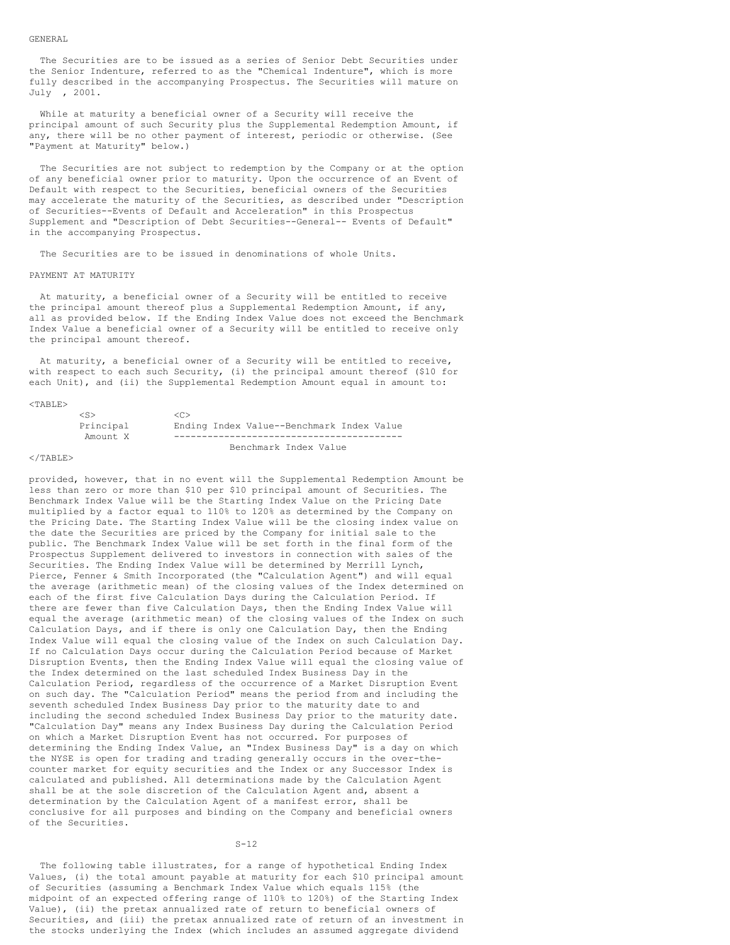#### GENERAL

The Securities are to be issued as a series of Senior Debt Securities under the Senior Indenture, referred to as the "Chemical Indenture", which is more fully described in the accompanying Prospectus. The Securities will mature on July , 2001.

While at maturity a beneficial owner of a Security will receive the principal amount of such Security plus the Supplemental Redemption Amount, if any, there will be no other payment of interest, periodic or otherwise. (See "Payment at Maturity" below.)

The Securities are not subject to redemption by the Company or at the option of any beneficial owner prior to maturity. Upon the occurrence of an Event of Default with respect to the Securities, beneficial owners of the Securities may accelerate the maturity of the Securities, as described under "Description of Securities--Events of Default and Acceleration" in this Prospectus Supplement and "Description of Debt Securities--General-- Events of Default" in the accompanying Prospectus.

The Securities are to be issued in denominations of whole Units.

### PAYMENT AT MATURITY

At maturity, a beneficial owner of a Security will be entitled to receive the principal amount thereof plus a Supplemental Redemption Amount, if any, all as provided below. If the Ending Index Value does not exceed the Benchmark Index Value a beneficial owner of a Security will be entitled to receive only the principal amount thereof.

At maturity, a beneficial owner of a Security will be entitled to receive, with respect to each such Security, (i) the principal amount thereof (\$10 for each Unit), and (ii) the Supplemental Redemption Amount equal in amount to:

#### $<$ TABLE>

| $\langle S \rangle$ | <c></c>                                   |
|---------------------|-------------------------------------------|
| Principal           | Ending Index Value--Benchmark Index Value |
| Amount X            |                                           |
|                     | Benchmark Index Value                     |

### $\langle$ /TABLE>

provided, however, that in no event will the Supplemental Redemption Amount be less than zero or more than \$10 per \$10 principal amount of Securities. The Benchmark Index Value will be the Starting Index Value on the Pricing Date multiplied by a factor equal to 110% to 120% as determined by the Company on the Pricing Date. The Starting Index Value will be the closing index value on the date the Securities are priced by the Company for initial sale to the public. The Benchmark Index Value will be set forth in the final form of the Prospectus Supplement delivered to investors in connection with sales of the Securities. The Ending Index Value will be determined by Merrill Lynch, Pierce, Fenner & Smith Incorporated (the "Calculation Agent") and will equal the average (arithmetic mean) of the closing values of the Index determined on each of the first five Calculation Days during the Calculation Period. If there are fewer than five Calculation Days, then the Ending Index Value will equal the average (arithmetic mean) of the closing values of the Index on such Calculation Days, and if there is only one Calculation Day, then the Ending Index Value will equal the closing value of the Index on such Calculation Day. If no Calculation Days occur during the Calculation Period because of Market Disruption Events, then the Ending Index Value will equal the closing value of the Index determined on the last scheduled Index Business Day in the Calculation Period, regardless of the occurrence of a Market Disruption Event on such day. The "Calculation Period" means the period from and including the seventh scheduled Index Business Day prior to the maturity date to and including the second scheduled Index Business Day prior to the maturity date. "Calculation Day" means any Index Business Day during the Calculation Period on which a Market Disruption Event has not occurred. For purposes of determining the Ending Index Value, an "Index Business Day" is a day on which the NYSE is open for trading and trading generally occurs in the over-thecounter market for equity securities and the Index or any Successor Index is calculated and published. All determinations made by the Calculation Agent shall be at the sole discretion of the Calculation Agent and, absent a determination by the Calculation Agent of a manifest error, shall be conclusive for all purposes and binding on the Company and beneficial owners of the Securities.

## $S-12$

The following table illustrates, for a range of hypothetical Ending Index Values, (i) the total amount payable at maturity for each \$10 principal amount of Securities (assuming a Benchmark Index Value which equals 115% (the midpoint of an expected offering range of 110% to 120%) of the Starting Index Value), (ii) the pretax annualized rate of return to beneficial owners of Securities, and (iii) the pretax annualized rate of return of an investment in the stocks underlying the Index (which includes an assumed aggregate dividend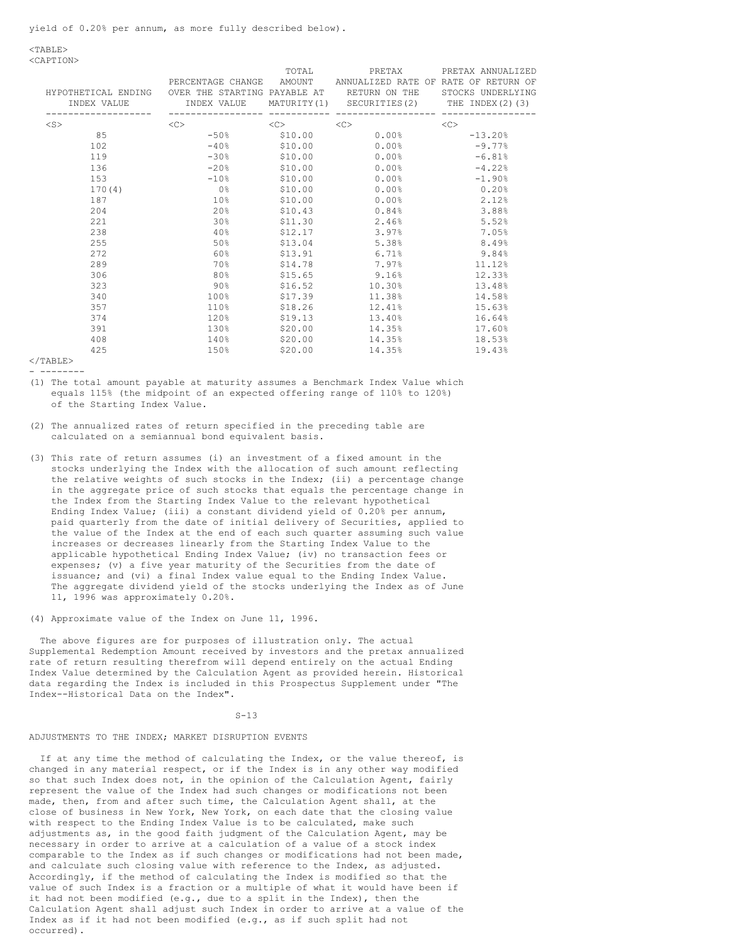$<$ TABLE> <CAPTION>

| HYPOTHETICAL ENDING OVER THE STARTING PAYABLE AT ARETURN ON THE STOCKS UNDERLYING<br>INDEX VALUE |                              | TOTAL               | PRETAX<br>PERCENTAGE CHANGE AMOUNT ANNUALIZED RATE OF RATE OF RETURN OF<br>INDEX VALUE MATURITY(1) SECURITIES(2) THE INDEX(2)(3) | PRETAX ANNUALIZED |
|--------------------------------------------------------------------------------------------------|------------------------------|---------------------|----------------------------------------------------------------------------------------------------------------------------------|-------------------|
| $<$ S $>$                                                                                        | <<                           | $\langle C \rangle$ | $<<$ $>>$                                                                                                                        | < <sub></sub>     |
| 85                                                                                               | $-50\%$ \$10.00              |                     | $0.00\%$                                                                                                                         | $-13.20%$         |
| 102                                                                                              | $-40\%$                      | \$10.00             | $0.00\%$                                                                                                                         | $-9.77%$          |
| 119                                                                                              | $-30\%$ . The set of $-30\%$ | \$10.00             | $0.00\%$                                                                                                                         | $-6.81%$          |
| 136                                                                                              | $-20%$                       | \$10.00             | 0.00%                                                                                                                            | $-4.22%$          |
| 153                                                                                              | $-10\%$ and $-10\%$          | \$10.00             | $0.00\%$                                                                                                                         | $-1.90%$          |
| 170(4)                                                                                           | 이 없는 것이 없어요.                 | \$10.00             | 0.00%                                                                                                                            | 0.20%             |
| 187                                                                                              | 10 <sup>°</sup>              | \$10.00             | 0.00%                                                                                                                            | 2.12%             |
| 204                                                                                              | 20%                          | \$10.43             | $0.84\%$                                                                                                                         | 3.88%             |
| 221                                                                                              | 30%                          | \$11.30             | 2.46%                                                                                                                            | 5.52%             |
| 238                                                                                              | 40%                          | \$12.17             | 3.97%                                                                                                                            | 7.05%             |
| 255                                                                                              | 50%                          | \$13.04             | 5.38%                                                                                                                            | 8.49%             |
| 272                                                                                              | 60%                          | \$13.91             | 6.71%                                                                                                                            | 9.84%             |
| 289                                                                                              | 70 %                         | \$14.78             | 7.97%                                                                                                                            | 11.12%            |
| 306                                                                                              | 80%                          | \$15.65             | $9.16\%$                                                                                                                         | 12.33%            |
| 323                                                                                              | 90왕                          | \$16.52             | 10.30%                                                                                                                           | 13.48%            |
| 340                                                                                              | $100\%$                      | \$17.39             | 11.38%                                                                                                                           | 14.58%            |
| 357                                                                                              | 110%                         | \$18.26             | 12.41%                                                                                                                           | 15.63%            |
| 374                                                                                              | 120%                         | \$19.13             | 13.40%                                                                                                                           | 16.64%            |
| 391                                                                                              | 130%                         | \$20.00             | 14.35%                                                                                                                           | 17.60%            |
| 408                                                                                              | 140%                         | \$20.00             | 14.35%                                                                                                                           | 18.53%            |
| 425                                                                                              | 150%                         | \$20.00             | 14.35%                                                                                                                           | 19.43%            |

 $<$ /TABLE> - --------

- (1) The total amount payable at maturity assumes a Benchmark Index Value which equals 115% (the midpoint of an expected offering range of 110% to 120%) of the Starting Index Value.
- (2) The annualized rates of return specified in the preceding table are calculated on a semiannual bond equivalent basis.
- (3) This rate of return assumes (i) an investment of a fixed amount in the stocks underlying the Index with the allocation of such amount reflecting the relative weights of such stocks in the Index; (ii) a percentage change in the aggregate price of such stocks that equals the percentage change in the Index from the Starting Index Value to the relevant hypothetical Ending Index Value; (iii) a constant dividend yield of 0.20% per annum, paid quarterly from the date of initial delivery of Securities, applied to the value of the Index at the end of each such quarter assuming such value increases or decreases linearly from the Starting Index Value to the applicable hypothetical Ending Index Value; (iv) no transaction fees or expenses; (v) a five year maturity of the Securities from the date of issuance; and (vi) a final Index value equal to the Ending Index Value. The aggregate dividend yield of the stocks underlying the Index as of June 11, 1996 was approximately 0.20%.
- (4) Approximate value of the Index on June 11, 1996.

The above figures are for purposes of illustration only. The actual Supplemental Redemption Amount received by investors and the pretax annualized rate of return resulting therefrom will depend entirely on the actual Ending Index Value determined by the Calculation Agent as provided herein. Historical data regarding the Index is included in this Prospectus Supplement under "The Index--Historical Data on the Index".

### $S-13$

# ADJUSTMENTS TO THE INDEX; MARKET DISRUPTION EVENTS

If at any time the method of calculating the Index, or the value thereof, is changed in any material respect, or if the Index is in any other way modified so that such Index does not, in the opinion of the Calculation Agent, fairly represent the value of the Index had such changes or modifications not been made, then, from and after such time, the Calculation Agent shall, at the close of business in New York, New York, on each date that the closing value with respect to the Ending Index Value is to be calculated, make such adjustments as, in the good faith judgment of the Calculation Agent, may be necessary in order to arrive at a calculation of a value of a stock index comparable to the Index as if such changes or modifications had not been made, and calculate such closing value with reference to the Index, as adjusted. Accordingly, if the method of calculating the Index is modified so that the value of such Index is a fraction or a multiple of what it would have been if it had not been modified (e.g., due to a split in the Index), then the Calculation Agent shall adjust such Index in order to arrive at a value of the Index as if it had not been modified (e.g., as if such split had not occurred).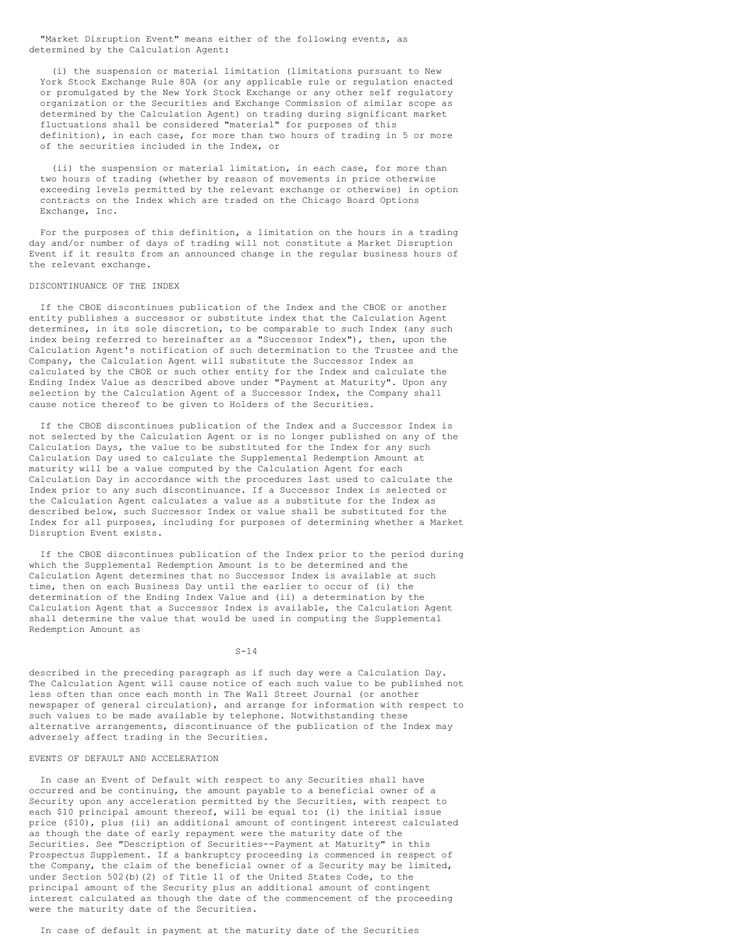"Market Disruption Event" means either of the following events, as determined by the Calculation Agent:

(i) the suspension or material limitation (limitations pursuant to New York Stock Exchange Rule 80A (or any applicable rule or regulation enacted or promulgated by the New York Stock Exchange or any other self regulatory organization or the Securities and Exchange Commission of similar scope as determined by the Calculation Agent) on trading during significant market fluctuations shall be considered "material" for purposes of this definition), in each case, for more than two hours of trading in 5 or more of the securities included in the Index, or

(ii) the suspension or material limitation, in each case, for more than two hours of trading (whether by reason of movements in price otherwise exceeding levels permitted by the relevant exchange or otherwise) in option contracts on the Index which are traded on the Chicago Board Options Exchange, Inc.

For the purposes of this definition, a limitation on the hours in a trading day and/or number of days of trading will not constitute a Market Disruption Event if it results from an announced change in the regular business hours of the relevant exchange.

#### DISCONTINUANCE OF THE INDEX

If the CBOE discontinues publication of the Index and the CBOE or another entity publishes a successor or substitute index that the Calculation Agent determines, in its sole discretion, to be comparable to such Index (any such index being referred to hereinafter as a "Successor Index"), then, upon the Calculation Agent's notification of such determination to the Trustee and the Company, the Calculation Agent will substitute the Successor Index as calculated by the CBOE or such other entity for the Index and calculate the Ending Index Value as described above under "Payment at Maturity". Upon any selection by the Calculation Agent of a Successor Index, the Company shall cause notice thereof to be given to Holders of the Securities.

If the CBOE discontinues publication of the Index and a Successor Index is not selected by the Calculation Agent or is no longer published on any of the Calculation Days, the value to be substituted for the Index for any such Calculation Day used to calculate the Supplemental Redemption Amount at maturity will be a value computed by the Calculation Agent for each Calculation Day in accordance with the procedures last used to calculate the Index prior to any such discontinuance. If a Successor Index is selected or the Calculation Agent calculates a value as a substitute for the Index as described below, such Successor Index or value shall be substituted for the Index for all purposes, including for purposes of determining whether a Market Disruption Event exists.

If the CBOE discontinues publication of the Index prior to the period during which the Supplemental Redemption Amount is to be determined and the Calculation Agent determines that no Successor Index is available at such time, then on each Business Day until the earlier to occur of (i) the determination of the Ending Index Value and (ii) a determination by the Calculation Agent that a Successor Index is available, the Calculation Agent shall determine the value that would be used in computing the Supplemental Redemption Amount as

 $S-14$ 

described in the preceding paragraph as if such day were a Calculation Day. The Calculation Agent will cause notice of each such value to be published not less often than once each month in The Wall Street Journal (or another newspaper of general circulation), and arrange for information with respect to such values to be made available by telephone. Notwithstanding these alternative arrangements, discontinuance of the publication of the Index may adversely affect trading in the Securities.

### EVENTS OF DEFAULT AND ACCELERATION

In case an Event of Default with respect to any Securities shall have occurred and be continuing, the amount payable to a beneficial owner of a Security upon any acceleration permitted by the Securities, with respect to each \$10 principal amount thereof, will be equal to: (i) the initial issue price (\$10), plus (ii) an additional amount of contingent interest calculated as though the date of early repayment were the maturity date of the Securities. See "Description of Securities--Payment at Maturity" in this Prospectus Supplement. If a bankruptcy proceeding is commenced in respect of the Company, the claim of the beneficial owner of a Security may be limited, under Section 502(b)(2) of Title 11 of the United States Code, to the principal amount of the Security plus an additional amount of contingent interest calculated as though the date of the commencement of the proceeding were the maturity date of the Securities.

In case of default in payment at the maturity date of the Securities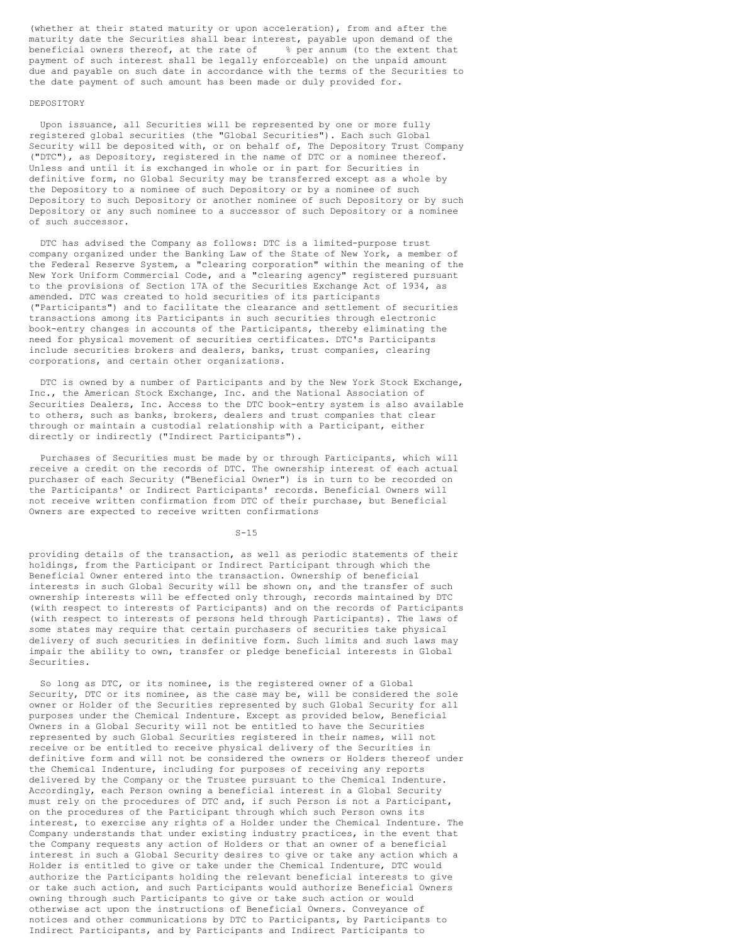(whether at their stated maturity or upon acceleration), from and after the maturity date the Securities shall bear interest, payable upon demand of the beneficial owners thereof, at the rate of % per annum (to the extent that payment of such interest shall be legally enforceable) on the unpaid amount due and payable on such date in accordance with the terms of the Securities to the date payment of such amount has been made or duly provided for.

## DEPOSITORY

Upon issuance, all Securities will be represented by one or more fully registered global securities (the "Global Securities"). Each such Global Security will be deposited with, or on behalf of, The Depository Trust Company ("DTC"), as Depository, registered in the name of DTC or a nominee thereof. Unless and until it is exchanged in whole or in part for Securities in definitive form, no Global Security may be transferred except as a whole by the Depository to a nominee of such Depository or by a nominee of such Depository to such Depository or another nominee of such Depository or by such Depository or any such nominee to a successor of such Depository or a nominee of such successor.

DTC has advised the Company as follows: DTC is a limited-purpose trust company organized under the Banking Law of the State of New York, a member of the Federal Reserve System, a "clearing corporation" within the meaning of the New York Uniform Commercial Code, and a "clearing agency" registered pursuant to the provisions of Section 17A of the Securities Exchange Act of 1934, as amended. DTC was created to hold securities of its participants ("Participants") and to facilitate the clearance and settlement of securities transactions among its Participants in such securities through electronic book-entry changes in accounts of the Participants, thereby eliminating the need for physical movement of securities certificates. DTC's Participants include securities brokers and dealers, banks, trust companies, clearing corporations, and certain other organizations.

DTC is owned by a number of Participants and by the New York Stock Exchange, Inc., the American Stock Exchange, Inc. and the National Association of Securities Dealers, Inc. Access to the DTC book-entry system is also available to others, such as banks, brokers, dealers and trust companies that clear through or maintain a custodial relationship with a Participant, either directly or indirectly ("Indirect Participants").

Purchases of Securities must be made by or through Participants, which will receive a credit on the records of DTC. The ownership interest of each actual purchaser of each Security ("Beneficial Owner") is in turn to be recorded on the Participants' or Indirect Participants' records. Beneficial Owners will not receive written confirmation from DTC of their purchase, but Beneficial Owners are expected to receive written confirmations

 $S-15$ 

providing details of the transaction, as well as periodic statements of their holdings, from the Participant or Indirect Participant through which the Beneficial Owner entered into the transaction. Ownership of beneficial interests in such Global Security will be shown on, and the transfer of such ownership interests will be effected only through, records maintained by DTC (with respect to interests of Participants) and on the records of Participants (with respect to interests of persons held through Participants). The laws of some states may require that certain purchasers of securities take physical delivery of such securities in definitive form. Such limits and such laws may impair the ability to own, transfer or pledge beneficial interests in Global Securities.

So long as DTC, or its nominee, is the registered owner of a Global Security, DTC or its nominee, as the case may be, will be considered the sole owner or Holder of the Securities represented by such Global Security for all purposes under the Chemical Indenture. Except as provided below, Beneficial Owners in a Global Security will not be entitled to have the Securities represented by such Global Securities registered in their names, will not receive or be entitled to receive physical delivery of the Securities in definitive form and will not be considered the owners or Holders thereof under the Chemical Indenture, including for purposes of receiving any reports delivered by the Company or the Trustee pursuant to the Chemical Indenture. Accordingly, each Person owning a beneficial interest in a Global Security must rely on the procedures of DTC and, if such Person is not a Participant, on the procedures of the Participant through which such Person owns its interest, to exercise any rights of a Holder under the Chemical Indenture. The Company understands that under existing industry practices, in the event that the Company requests any action of Holders or that an owner of a beneficial interest in such a Global Security desires to give or take any action which a Holder is entitled to give or take under the Chemical Indenture, DTC would authorize the Participants holding the relevant beneficial interests to give or take such action, and such Participants would authorize Beneficial Owners owning through such Participants to give or take such action or would otherwise act upon the instructions of Beneficial Owners. Conveyance of notices and other communications by DTC to Participants, by Participants to Indirect Participants, and by Participants and Indirect Participants to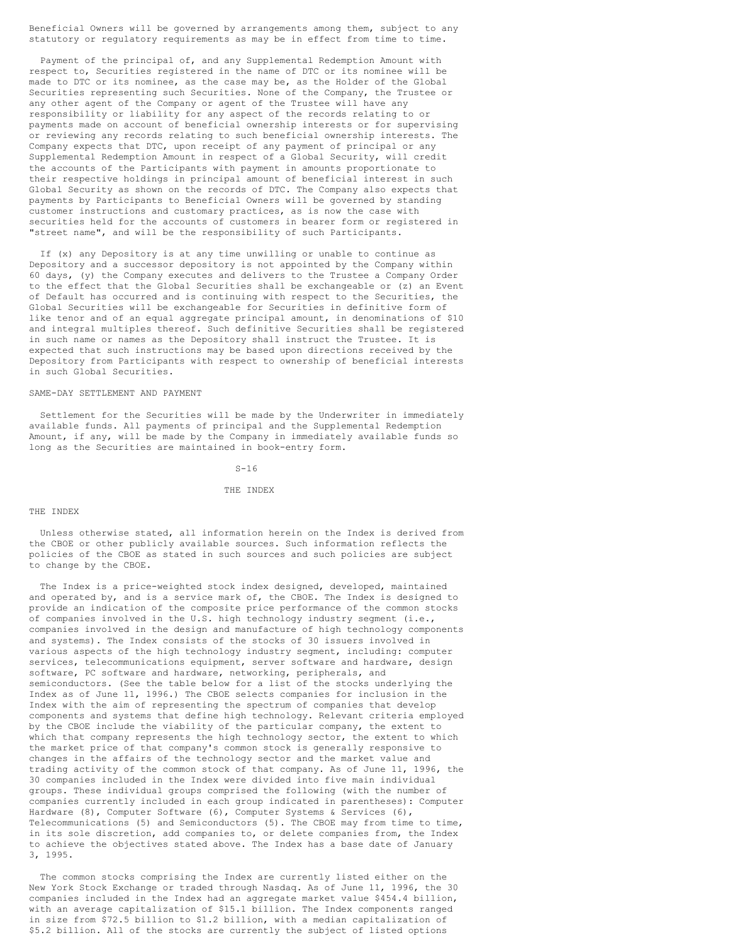Beneficial Owners will be governed by arrangements among them, subject to any statutory or regulatory requirements as may be in effect from time to time.

Payment of the principal of, and any Supplemental Redemption Amount with respect to, Securities registered in the name of DTC or its nominee will be made to DTC or its nominee, as the case may be, as the Holder of the Global Securities representing such Securities. None of the Company, the Trustee or any other agent of the Company or agent of the Trustee will have any responsibility or liability for any aspect of the records relating to or payments made on account of beneficial ownership interests or for supervising or reviewing any records relating to such beneficial ownership interests. The Company expects that DTC, upon receipt of any payment of principal or any Supplemental Redemption Amount in respect of a Global Security, will credit the accounts of the Participants with payment in amounts proportionate to their respective holdings in principal amount of beneficial interest in such Global Security as shown on the records of DTC. The Company also expects that payments by Participants to Beneficial Owners will be governed by standing customer instructions and customary practices, as is now the case with securities held for the accounts of customers in bearer form or registered in "street name", and will be the responsibility of such Participants.

If (x) any Depository is at any time unwilling or unable to continue as Depository and a successor depository is not appointed by the Company within 60 days, (y) the Company executes and delivers to the Trustee a Company Order to the effect that the Global Securities shall be exchangeable or (z) an Event of Default has occurred and is continuing with respect to the Securities, the Global Securities will be exchangeable for Securities in definitive form of like tenor and of an equal aggregate principal amount, in denominations of \$10 and integral multiples thereof. Such definitive Securities shall be registered in such name or names as the Depository shall instruct the Trustee. It is expected that such instructions may be based upon directions received by the Depository from Participants with respect to ownership of beneficial interests in such Global Securities.

## SAME-DAY SETTLEMENT AND PAYMENT

Settlement for the Securities will be made by the Underwriter in immediately available funds. All payments of principal and the Supplemental Redemption Amount, if any, will be made by the Company in immediately available funds so long as the Securities are maintained in book-entry form.

 $S-16$ 

### THE INDEX

## THE INDEX

Unless otherwise stated, all information herein on the Index is derived from the CBOE or other publicly available sources. Such information reflects the policies of the CBOE as stated in such sources and such policies are subject to change by the CBOE.

The Index is a price-weighted stock index designed, developed, maintained and operated by, and is a service mark of, the CBOE. The Index is designed to provide an indication of the composite price performance of the common stocks of companies involved in the U.S. high technology industry segment (i.e., companies involved in the design and manufacture of high technology components and systems). The Index consists of the stocks of 30 issuers involved in various aspects of the high technology industry segment, including: computer services, telecommunications equipment, server software and hardware, design software, PC software and hardware, networking, peripherals, and semiconductors. (See the table below for a list of the stocks underlying the Index as of June 11, 1996.) The CBOE selects companies for inclusion in the Index with the aim of representing the spectrum of companies that develop components and systems that define high technology. Relevant criteria employed by the CBOE include the viability of the particular company, the extent to which that company represents the high technology sector, the extent to which the market price of that company's common stock is generally responsive to changes in the affairs of the technology sector and the market value and trading activity of the common stock of that company. As of June 11, 1996, the 30 companies included in the Index were divided into five main individual groups. These individual groups comprised the following (with the number of companies currently included in each group indicated in parentheses): Computer Hardware (8), Computer Software (6), Computer Systems & Services (6), Telecommunications (5) and Semiconductors (5). The CBOE may from time to time, in its sole discretion, add companies to, or delete companies from, the Index to achieve the objectives stated above. The Index has a base date of January 3, 1995.

The common stocks comprising the Index are currently listed either on the New York Stock Exchange or traded through Nasdaq. As of June 11, 1996, the 30 companies included in the Index had an aggregate market value \$454.4 billion, with an average capitalization of \$15.1 billion. The Index components ranged in size from \$72.5 billion to \$1.2 billion, with a median capitalization of \$5.2 billion. All of the stocks are currently the subject of listed options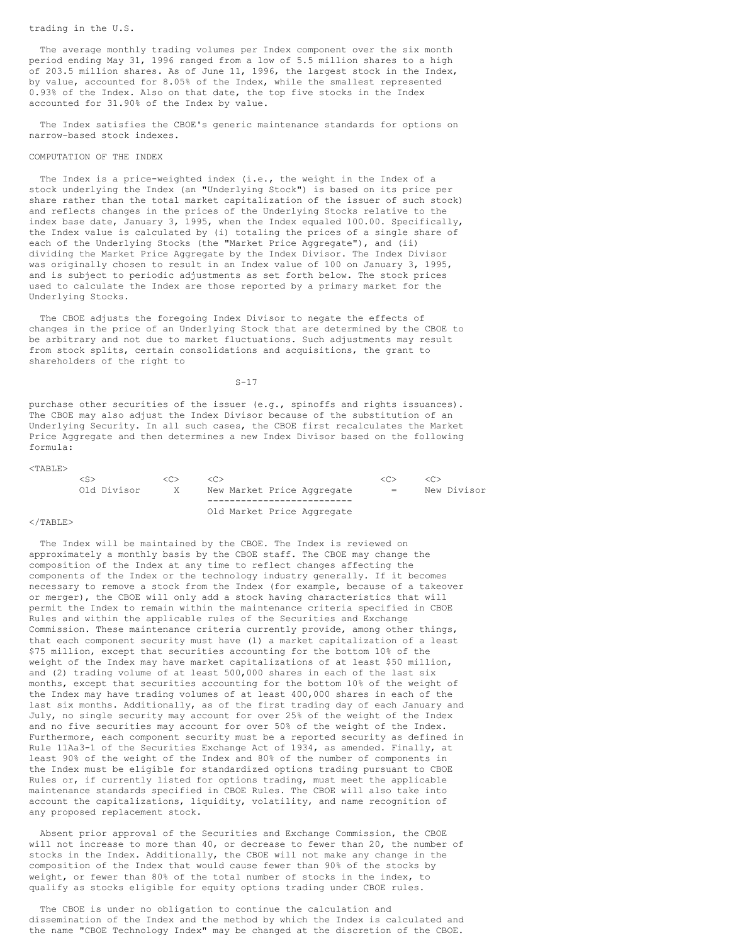### trading in the U.S.

The average monthly trading volumes per Index component over the six month period ending May 31, 1996 ranged from a low of 5.5 million shares to a high of 203.5 million shares. As of June 11, 1996, the largest stock in the Index, by value, accounted for 8.05% of the Index, while the smallest represented 0.93% of the Index. Also on that date, the top five stocks in the Index accounted for 31.90% of the Index by value.

The Index satisfies the CBOE's generic maintenance standards for options on narrow-based stock indexes.

## COMPUTATION OF THE INDEX

The Index is a price-weighted index (i.e., the weight in the Index of a stock underlying the Index (an "Underlying Stock") is based on its price per share rather than the total market capitalization of the issuer of such stock) and reflects changes in the prices of the Underlying Stocks relative to the index base date, January 3, 1995, when the Index equaled 100.00. Specifically, the Index value is calculated by (i) totaling the prices of a single share of each of the Underlying Stocks (the "Market Price Aggregate"), and (ii) dividing the Market Price Aggregate by the Index Divisor. The Index Divisor was originally chosen to result in an Index value of 100 on January 3, 1995, and is subject to periodic adjustments as set forth below. The stock prices used to calculate the Index are those reported by a primary market for the Underlying Stocks.

The CBOE adjusts the foregoing Index Divisor to negate the effects of changes in the price of an Underlying Stock that are determined by the CBOE to be arbitrary and not due to market fluctuations. Such adjustments may result from stock splits, certain consolidations and acquisitions, the grant to shareholders of the right to

 $S-17$ 

purchase other securities of the issuer (e.g., spinoffs and rights issuances). The CBOE may also adjust the Index Divisor because of the substitution of an Underlying Security. In all such cases, the CBOE first recalculates the Market Price Aggregate and then determines a new Index Divisor based on the following formula:

| $<$ TABLE $>$ |             |                      |                                      |                                  |                               |
|---------------|-------------|----------------------|--------------------------------------|----------------------------------|-------------------------------|
|               | Old Divisor | < <sub><br/>X.</sub> | <( '.><br>New Market Price Aggregate | < <sub><br/><math>=</math></sub> | < <sub><br/>New Divisor</sub> |
|               |             |                      | Old Market Price Aggregate           |                                  |                               |

#### $\langle$ /TABLE>

The Index will be maintained by the CBOE. The Index is reviewed on approximately a monthly basis by the CBOE staff. The CBOE may change the composition of the Index at any time to reflect changes affecting the components of the Index or the technology industry generally. If it becomes necessary to remove a stock from the Index (for example, because of a takeover or merger), the CBOE will only add a stock having characteristics that will permit the Index to remain within the maintenance criteria specified in CBOE Rules and within the applicable rules of the Securities and Exchange Commission. These maintenance criteria currently provide, among other things, that each component security must have (1) a market capitalization of a least \$75 million, except that securities accounting for the bottom 10% of the weight of the Index may have market capitalizations of at least \$50 million, and (2) trading volume of at least 500,000 shares in each of the last six months, except that securities accounting for the bottom 10% of the weight of the Index may have trading volumes of at least 400,000 shares in each of the last six months. Additionally, as of the first trading day of each January and July, no single security may account for over 25% of the weight of the Index and no five securities may account for over 50% of the weight of the Index. Furthermore, each component security must be a reported security as defined in Rule 11Aa3-1 of the Securities Exchange Act of 1934, as amended. Finally, at least 90% of the weight of the Index and 80% of the number of components in the Index must be eligible for standardized options trading pursuant to CBOE Rules or, if currently listed for options trading, must meet the applicable maintenance standards specified in CBOE Rules. The CBOE will also take into account the capitalizations, liquidity, volatility, and name recognition of any proposed replacement stock.

Absent prior approval of the Securities and Exchange Commission, the CBOE will not increase to more than 40, or decrease to fewer than 20, the number of stocks in the Index. Additionally, the CBOE will not make any change in the composition of the Index that would cause fewer than 90% of the stocks by weight, or fewer than 80% of the total number of stocks in the index, to qualify as stocks eligible for equity options trading under CBOE rules.

The CBOE is under no obligation to continue the calculation and dissemination of the Index and the method by which the Index is calculated and the name "CBOE Technology Index" may be changed at the discretion of the CBOE.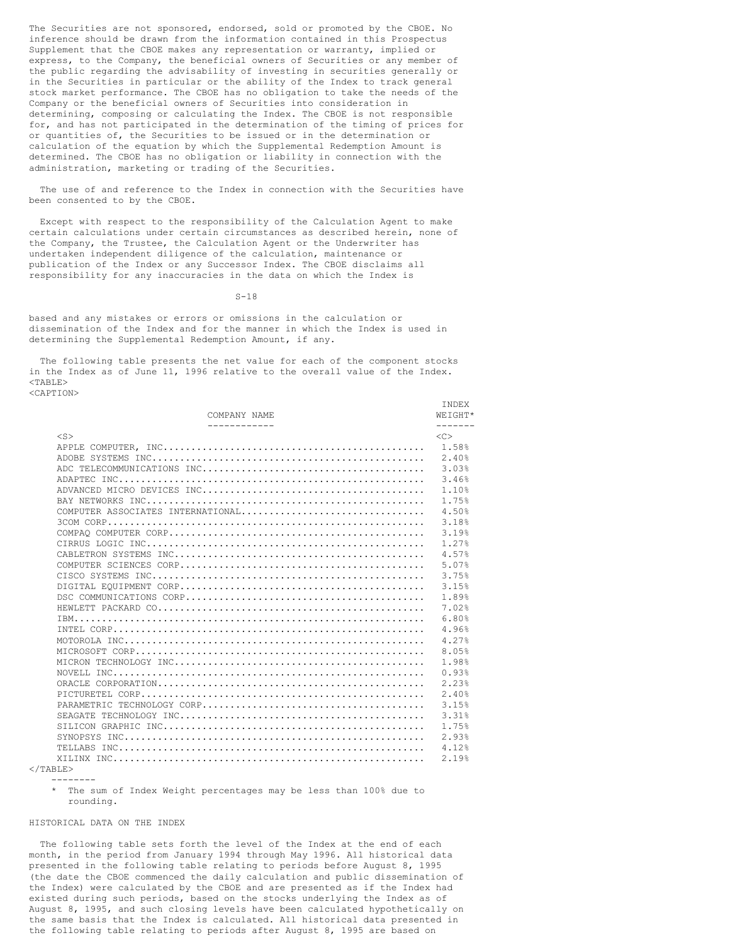The Securities are not sponsored, endorsed, sold or promoted by the CBOE. No inference should be drawn from the information contained in this Prospectus Supplement that the CBOE makes any representation or warranty, implied or express, to the Company, the beneficial owners of Securities or any member of the public regarding the advisability of investing in securities generally or in the Securities in particular or the ability of the Index to track general stock market performance. The CBOE has no obligation to take the needs of the Company or the beneficial owners of Securities into consideration in determining, composing or calculating the Index. The CBOE is not responsible for, and has not participated in the determination of the timing of prices for or quantities of, the Securities to be issued or in the determination or calculation of the equation by which the Supplemental Redemption Amount is determined. The CBOE has no obligation or liability in connection with the administration, marketing or trading of the Securities.

The use of and reference to the Index in connection with the Securities have been consented to by the CBOE.

Except with respect to the responsibility of the Calculation Agent to make certain calculations under certain circumstances as described herein, none of the Company, the Trustee, the Calculation Agent or the Underwriter has undertaken independent diligence of the calculation, maintenance or publication of the Index or any Successor Index. The CBOE disclaims all responsibility for any inaccuracies in the data on which the Index is

 $S-18$ 

based and any mistakes or errors or omissions in the calculation or dissemination of the Index and for the manner in which the Index is used in determining the Supplemental Redemption Amount, if any.

The following table presents the net value for each of the component stocks in the Index as of June 11, 1996 relative to the overall value of the Index.  $<$ TABLE $>$ <CAPTION>

|        | COMPANY NAME<br>____________      | <b>TNDEX</b><br>WEIGHT*<br>$- - - - - - -$ |
|--------|-----------------------------------|--------------------------------------------|
| $<$ S> |                                   | $\langle C \rangle$                        |
|        |                                   |                                            |
|        |                                   | 2.40%                                      |
|        |                                   | 3.03%                                      |
|        |                                   | 3.46%                                      |
|        |                                   | 1.10%                                      |
|        |                                   | 1.75%                                      |
|        | COMPUTER ASSOCIATES INTERNATIONAL | 4.50%                                      |
|        |                                   | 3.18%                                      |
|        |                                   | 3.19%                                      |
|        |                                   | 1.27%                                      |
|        |                                   | 4.57%                                      |
|        |                                   | 5.07%                                      |
|        |                                   | 3.75%                                      |
|        |                                   | 3.15%                                      |
|        |                                   | 1.89%                                      |
|        |                                   | 7.02%                                      |
|        |                                   | 6.80%                                      |
|        |                                   | 4.96%                                      |
|        |                                   | 4.27%                                      |
|        |                                   | 8.05%                                      |
|        |                                   | 1.98%                                      |
|        |                                   | 0.93%                                      |
|        |                                   | 2.23%                                      |
|        |                                   | 2.40%                                      |
|        |                                   | 3.15%                                      |
|        |                                   | 3.31%                                      |
|        |                                   | 1.75%                                      |
|        |                                   | 2.93%                                      |
|        |                                   | 4.12%                                      |
|        |                                   | 2.19%                                      |

 $<$ /TABLE> --------

> \* The sum of Index Weight percentages may be less than 100% due to rounding.

## HISTORICAL DATA ON THE INDEX

The following table sets forth the level of the Index at the end of each month, in the period from January 1994 through May 1996. All historical data presented in the following table relating to periods before August 8, 1995 (the date the CBOE commenced the daily calculation and public dissemination of the Index) were calculated by the CBOE and are presented as if the Index had existed during such periods, based on the stocks underlying the Index as of August 8, 1995, and such closing levels have been calculated hypothetically on the same basis that the Index is calculated. All historical data presented in the following table relating to periods after August 8, 1995 are based on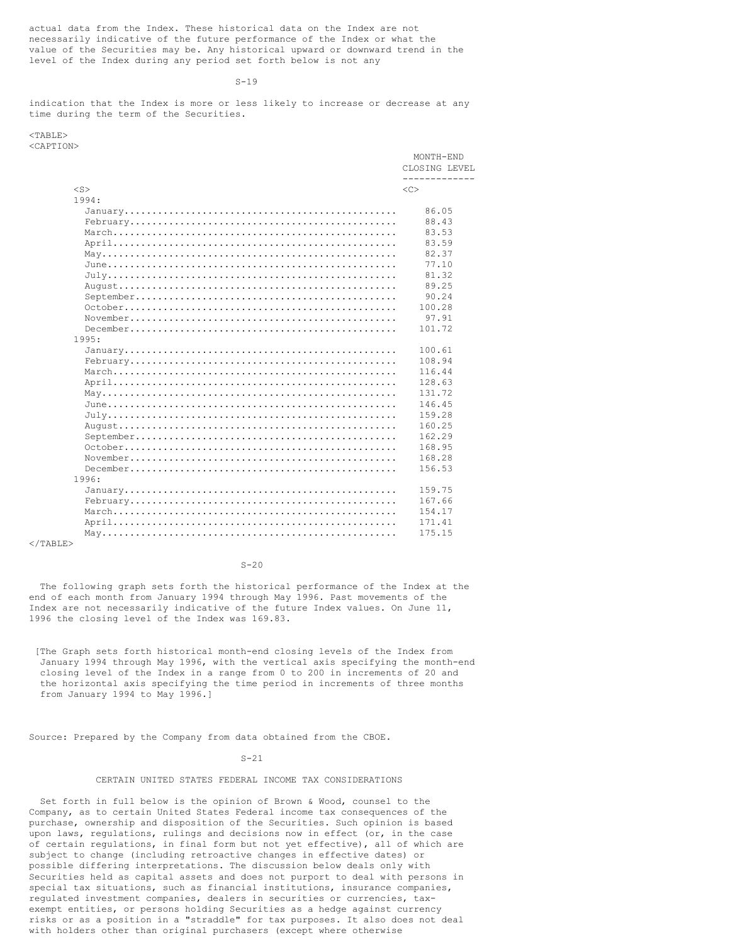actual data from the Index. These historical data on the Index are not necessarily indicative of the future performance of the Index or what the value of the Securities may be. Any historical upward or downward trend in the level of the Index during any period set forth below is not any

### $S-19$

indication that the Index is more or less likely to increase or decrease at any time during the term of the Securities.

| $<$ TABLE>                                                                                                                |                                   |
|---------------------------------------------------------------------------------------------------------------------------|-----------------------------------|
| <caption></caption>                                                                                                       |                                   |
|                                                                                                                           | MONTH-END                         |
|                                                                                                                           | CLOSING LEVEL                     |
| $<$ S $>$                                                                                                                 | ----------<br>$\langle C \rangle$ |
| 1994:                                                                                                                     |                                   |
|                                                                                                                           | 86.05                             |
|                                                                                                                           |                                   |
|                                                                                                                           | 88.43                             |
|                                                                                                                           | 83.53                             |
|                                                                                                                           | 83.59                             |
|                                                                                                                           | 82.37                             |
|                                                                                                                           | 77.10                             |
|                                                                                                                           | 81.32                             |
|                                                                                                                           | 89.25                             |
|                                                                                                                           | 90.24                             |
|                                                                                                                           | 100.28                            |
|                                                                                                                           | 97.91                             |
|                                                                                                                           | 101.72                            |
| 1995:                                                                                                                     |                                   |
|                                                                                                                           | 100.61                            |
|                                                                                                                           | 108.94                            |
|                                                                                                                           | 116.44                            |
|                                                                                                                           | 128.63                            |
|                                                                                                                           | 131.72                            |
|                                                                                                                           | 146.45                            |
|                                                                                                                           | 159.28                            |
|                                                                                                                           | 160.25                            |
|                                                                                                                           | 162.29                            |
|                                                                                                                           | 168.95                            |
|                                                                                                                           |                                   |
| $\texttt{November} \dots \dots \dots \dots \dots \dots \dots \dots \dots \dots \dots \dots \dots \dots \dots \dots \dots$ | 168.28                            |
|                                                                                                                           | 156.53                            |
| 1996:                                                                                                                     |                                   |
|                                                                                                                           | 159.75                            |
|                                                                                                                           | 167.66                            |
|                                                                                                                           | 154.17                            |
|                                                                                                                           | 171.41                            |
|                                                                                                                           | 175.15                            |
| $\langle$ /TABLE>                                                                                                         |                                   |

## $S - 20$

The following graph sets forth the historical performance of the Index at the end of each month from January 1994 through May 1996. Past movements of the Index are not necessarily indicative of the future Index values. On June 11, 1996 the closing level of the Index was 169.83.

[The Graph sets forth historical month-end closing levels of the Index from January 1994 through May 1996, with the vertical axis specifying the month-end closing level of the Index in a range from 0 to 200 in increments of 20 and the horizontal axis specifying the time period in increments of three months from January 1994 to May 1996.]

Source: Prepared by the Company from data obtained from the CBOE.

## $S - 21$

## CERTAIN UNITED STATES FEDERAL INCOME TAX CONSIDERATIONS

Set forth in full below is the opinion of Brown & Wood, counsel to the Company, as to certain United States Federal income tax consequences of the purchase, ownership and disposition of the Securities. Such opinion is based upon laws, regulations, rulings and decisions now in effect (or, in the case of certain regulations, in final form but not yet effective), all of which are subject to change (including retroactive changes in effective dates) or possible differing interpretations. The discussion below deals only with Securities held as capital assets and does not purport to deal with persons in special tax situations, such as financial institutions, insurance companies, regulated investment companies, dealers in securities or currencies, taxexempt entities, or persons holding Securities as a hedge against currency risks or as a position in a "straddle" for tax purposes. It also does not deal with holders other than original purchasers (except where otherwise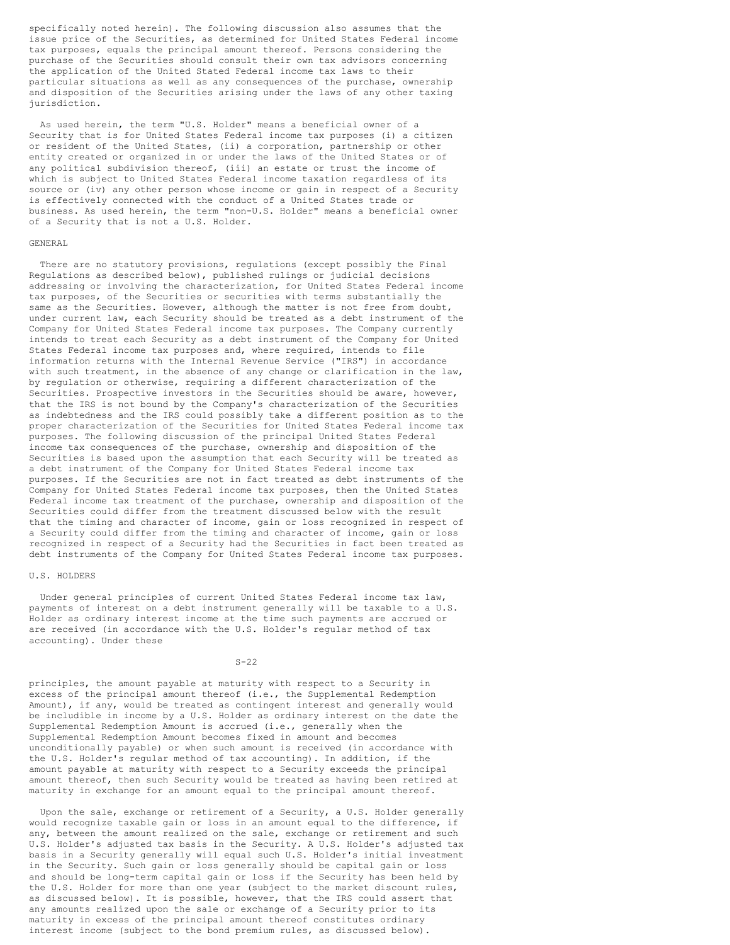specifically noted herein). The following discussion also assumes that the issue price of the Securities, as determined for United States Federal income tax purposes, equals the principal amount thereof. Persons considering the purchase of the Securities should consult their own tax advisors concerning the application of the United Stated Federal income tax laws to their particular situations as well as any consequences of the purchase, ownership and disposition of the Securities arising under the laws of any other taxing jurisdiction.

As used herein, the term "U.S. Holder" means a beneficial owner of a Security that is for United States Federal income tax purposes (i) a citizen or resident of the United States, (ii) a corporation, partnership or other entity created or organized in or under the laws of the United States or of any political subdivision thereof, (iii) an estate or trust the income of which is subject to United States Federal income taxation regardless of its source or (iv) any other person whose income or gain in respect of a Security is effectively connected with the conduct of a United States trade or business. As used herein, the term "non-U.S. Holder" means a beneficial owner of a Security that is not a U.S. Holder.

## GENERAL

There are no statutory provisions, regulations (except possibly the Final Regulations as described below), published rulings or judicial decisions addressing or involving the characterization, for United States Federal income tax purposes, of the Securities or securities with terms substantially the same as the Securities. However, although the matter is not free from doubt, under current law, each Security should be treated as a debt instrument of the Company for United States Federal income tax purposes. The Company currently intends to treat each Security as a debt instrument of the Company for United States Federal income tax purposes and, where required, intends to file information returns with the Internal Revenue Service ("IRS") in accordance with such treatment, in the absence of any change or clarification in the law, by regulation or otherwise, requiring a different characterization of the Securities. Prospective investors in the Securities should be aware, however, that the IRS is not bound by the Company's characterization of the Securities as indebtedness and the IRS could possibly take a different position as to the proper characterization of the Securities for United States Federal income tax purposes. The following discussion of the principal United States Federal income tax consequences of the purchase, ownership and disposition of the Securities is based upon the assumption that each Security will be treated as a debt instrument of the Company for United States Federal income tax purposes. If the Securities are not in fact treated as debt instruments of the Company for United States Federal income tax purposes, then the United States Federal income tax treatment of the purchase, ownership and disposition of the Securities could differ from the treatment discussed below with the result that the timing and character of income, gain or loss recognized in respect of a Security could differ from the timing and character of income, gain or loss recognized in respect of a Security had the Securities in fact been treated as debt instruments of the Company for United States Federal income tax purposes.

## U.S. HOLDERS

Under general principles of current United States Federal income tax law, payments of interest on a debt instrument generally will be taxable to a U.S. Holder as ordinary interest income at the time such payments are accrued or are received (in accordance with the U.S. Holder's regular method of tax accounting). Under these

### $S-22$

principles, the amount payable at maturity with respect to a Security in excess of the principal amount thereof (i.e., the Supplemental Redemption Amount), if any, would be treated as contingent interest and generally would be includible in income by a U.S. Holder as ordinary interest on the date the Supplemental Redemption Amount is accrued (i.e., generally when the Supplemental Redemption Amount becomes fixed in amount and becomes unconditionally payable) or when such amount is received (in accordance with the U.S. Holder's regular method of tax accounting). In addition, if the amount payable at maturity with respect to a Security exceeds the principal amount thereof, then such Security would be treated as having been retired at maturity in exchange for an amount equal to the principal amount thereof.

Upon the sale, exchange or retirement of a Security, a U.S. Holder generally would recognize taxable gain or loss in an amount equal to the difference, if any, between the amount realized on the sale, exchange or retirement and such U.S. Holder's adjusted tax basis in the Security. A U.S. Holder's adjusted tax basis in a Security generally will equal such U.S. Holder's initial investment in the Security. Such gain or loss generally should be capital gain or loss and should be long-term capital gain or loss if the Security has been held by the U.S. Holder for more than one year (subject to the market discount rules, as discussed below). It is possible, however, that the IRS could assert that any amounts realized upon the sale or exchange of a Security prior to its maturity in excess of the principal amount thereof constitutes ordinary interest income (subject to the bond premium rules, as discussed below).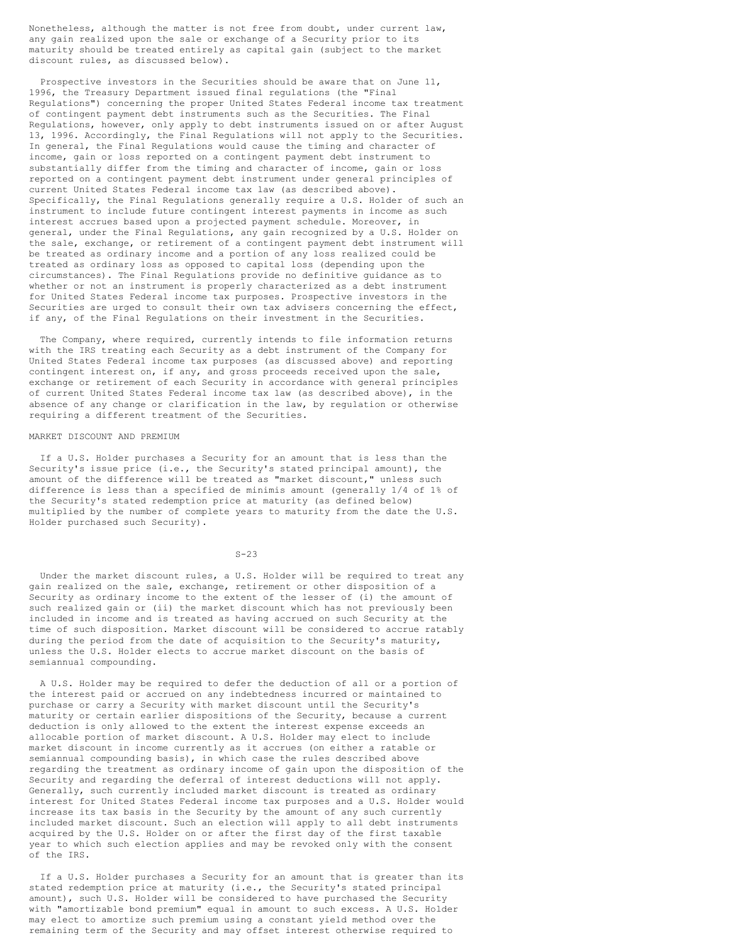Nonetheless, although the matter is not free from doubt, under current law, any gain realized upon the sale or exchange of a Security prior to its maturity should be treated entirely as capital gain (subject to the market discount rules, as discussed below).

Prospective investors in the Securities should be aware that on June 11, 1996, the Treasury Department issued final regulations (the "Final Regulations") concerning the proper United States Federal income tax treatment of contingent payment debt instruments such as the Securities. The Final Regulations, however, only apply to debt instruments issued on or after August 13, 1996. Accordingly, the Final Regulations will not apply to the Securities. In general, the Final Regulations would cause the timing and character of income, gain or loss reported on a contingent payment debt instrument to substantially differ from the timing and character of income, gain or loss reported on a contingent payment debt instrument under general principles of current United States Federal income tax law (as described above). Specifically, the Final Regulations generally require a U.S. Holder of such an instrument to include future contingent interest payments in income as such interest accrues based upon a projected payment schedule. Moreover, in general, under the Final Regulations, any gain recognized by a U.S. Holder on the sale, exchange, or retirement of a contingent payment debt instrument will be treated as ordinary income and a portion of any loss realized could be treated as ordinary loss as opposed to capital loss (depending upon the circumstances). The Final Regulations provide no definitive guidance as to whether or not an instrument is properly characterized as a debt instrument for United States Federal income tax purposes. Prospective investors in the Securities are urged to consult their own tax advisers concerning the effect, if any, of the Final Regulations on their investment in the Securities.

The Company, where required, currently intends to file information returns with the IRS treating each Security as a debt instrument of the Company for United States Federal income tax purposes (as discussed above) and reporting contingent interest on, if any, and gross proceeds received upon the sale, exchange or retirement of each Security in accordance with general principles of current United States Federal income tax law (as described above), in the absence of any change or clarification in the law, by regulation or otherwise requiring a different treatment of the Securities.

# MARKET DISCOUNT AND PREMIUM

If a U.S. Holder purchases a Security for an amount that is less than the Security's issue price (i.e., the Security's stated principal amount), the amount of the difference will be treated as "market discount," unless such difference is less than a specified de minimis amount (generally 1/4 of 1% of the Security's stated redemption price at maturity (as defined below) multiplied by the number of complete years to maturity from the date the U.S. Holder purchased such Security).

#### $S-23$

Under the market discount rules, a U.S. Holder will be required to treat any gain realized on the sale, exchange, retirement or other disposition of a Security as ordinary income to the extent of the lesser of (i) the amount of such realized gain or (ii) the market discount which has not previously been included in income and is treated as having accrued on such Security at the time of such disposition. Market discount will be considered to accrue ratably during the period from the date of acquisition to the Security's maturity, unless the U.S. Holder elects to accrue market discount on the basis of semiannual compounding.

A U.S. Holder may be required to defer the deduction of all or a portion of the interest paid or accrued on any indebtedness incurred or maintained to purchase or carry a Security with market discount until the Security's maturity or certain earlier dispositions of the Security, because a current deduction is only allowed to the extent the interest expense exceeds an allocable portion of market discount. A U.S. Holder may elect to include market discount in income currently as it accrues (on either a ratable or semiannual compounding basis), in which case the rules described above regarding the treatment as ordinary income of gain upon the disposition of the Security and regarding the deferral of interest deductions will not apply. Generally, such currently included market discount is treated as ordinary interest for United States Federal income tax purposes and a U.S. Holder would increase its tax basis in the Security by the amount of any such currently included market discount. Such an election will apply to all debt instruments acquired by the U.S. Holder on or after the first day of the first taxable year to which such election applies and may be revoked only with the consent of the IRS.

If a U.S. Holder purchases a Security for an amount that is greater than its stated redemption price at maturity (i.e., the Security's stated principal amount), such U.S. Holder will be considered to have purchased the Security with "amortizable bond premium" equal in amount to such excess. A U.S. Holder may elect to amortize such premium using a constant yield method over the remaining term of the Security and may offset interest otherwise required to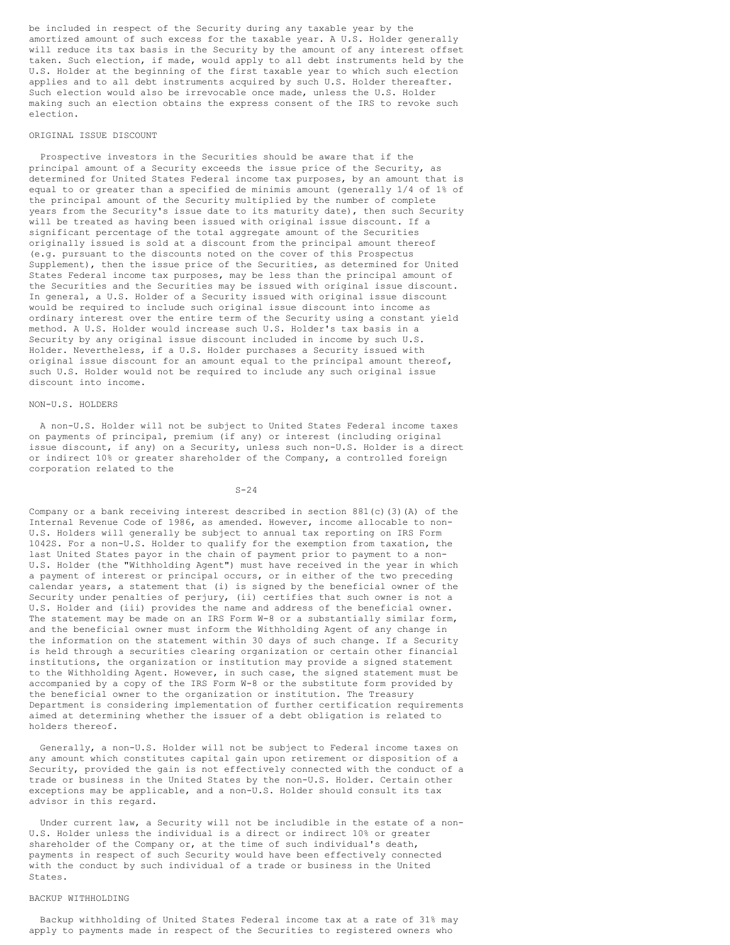be included in respect of the Security during any taxable year by the amortized amount of such excess for the taxable year. A U.S. Holder generally will reduce its tax basis in the Security by the amount of any interest offset taken. Such election, if made, would apply to all debt instruments held by the U.S. Holder at the beginning of the first taxable year to which such election applies and to all debt instruments acquired by such U.S. Holder thereafter. Such election would also be irrevocable once made, unless the U.S. Holder making such an election obtains the express consent of the IRS to revoke such election.

## ORIGINAL ISSUE DISCOUNT

Prospective investors in the Securities should be aware that if the principal amount of a Security exceeds the issue price of the Security, as determined for United States Federal income tax purposes, by an amount that is equal to or greater than a specified de minimis amount (generally 1/4 of 1% of the principal amount of the Security multiplied by the number of complete years from the Security's issue date to its maturity date), then such Security will be treated as having been issued with original issue discount. If a significant percentage of the total aggregate amount of the Securities originally issued is sold at a discount from the principal amount thereof (e.g. pursuant to the discounts noted on the cover of this Prospectus Supplement), then the issue price of the Securities, as determined for United States Federal income tax purposes, may be less than the principal amount of the Securities and the Securities may be issued with original issue discount. In general, a U.S. Holder of a Security issued with original issue discount would be required to include such original issue discount into income as ordinary interest over the entire term of the Security using a constant yield method. A U.S. Holder would increase such U.S. Holder's tax basis in a Security by any original issue discount included in income by such U.S. Holder. Nevertheless, if a U.S. Holder purchases a Security issued with original issue discount for an amount equal to the principal amount thereof, such U.S. Holder would not be required to include any such original issue discount into income.

### NON-U.S. HOLDERS

A non-U.S. Holder will not be subject to United States Federal income taxes on payments of principal, premium (if any) or interest (including original issue discount, if any) on a Security, unless such non-U.S. Holder is a direct or indirect 10% or greater shareholder of the Company, a controlled foreign corporation related to the

## $S - 24$

Company or a bank receiving interest described in section 881(c)(3)(A) of the Internal Revenue Code of 1986, as amended. However, income allocable to non-U.S. Holders will generally be subject to annual tax reporting on IRS Form 1042S. For a non-U.S. Holder to qualify for the exemption from taxation, the last United States payor in the chain of payment prior to payment to a non-U.S. Holder (the "Withholding Agent") must have received in the year in which a payment of interest or principal occurs, or in either of the two preceding calendar years, a statement that (i) is signed by the beneficial owner of the Security under penalties of perjury, (ii) certifies that such owner is not a U.S. Holder and (iii) provides the name and address of the beneficial owner. The statement may be made on an IRS Form W-8 or a substantially similar form, and the beneficial owner must inform the Withholding Agent of any change in the information on the statement within 30 days of such change. If a Security is held through a securities clearing organization or certain other financial institutions, the organization or institution may provide a signed statement to the Withholding Agent. However, in such case, the signed statement must be accompanied by a copy of the IRS Form W-8 or the substitute form provided by the beneficial owner to the organization or institution. The Treasury Department is considering implementation of further certification requirements aimed at determining whether the issuer of a debt obligation is related to holders thereof.

Generally, a non-U.S. Holder will not be subject to Federal income taxes on any amount which constitutes capital gain upon retirement or disposition of a Security, provided the gain is not effectively connected with the conduct of a trade or business in the United States by the non-U.S. Holder. Certain other exceptions may be applicable, and a non-U.S. Holder should consult its tax advisor in this regard.

Under current law, a Security will not be includible in the estate of a non-U.S. Holder unless the individual is a direct or indirect 10% or greater shareholder of the Company or, at the time of such individual's death, payments in respect of such Security would have been effectively connected with the conduct by such individual of a trade or business in the United States.

# BACKUP WITHHOLDING

Backup withholding of United States Federal income tax at a rate of 31% may apply to payments made in respect of the Securities to registered owners who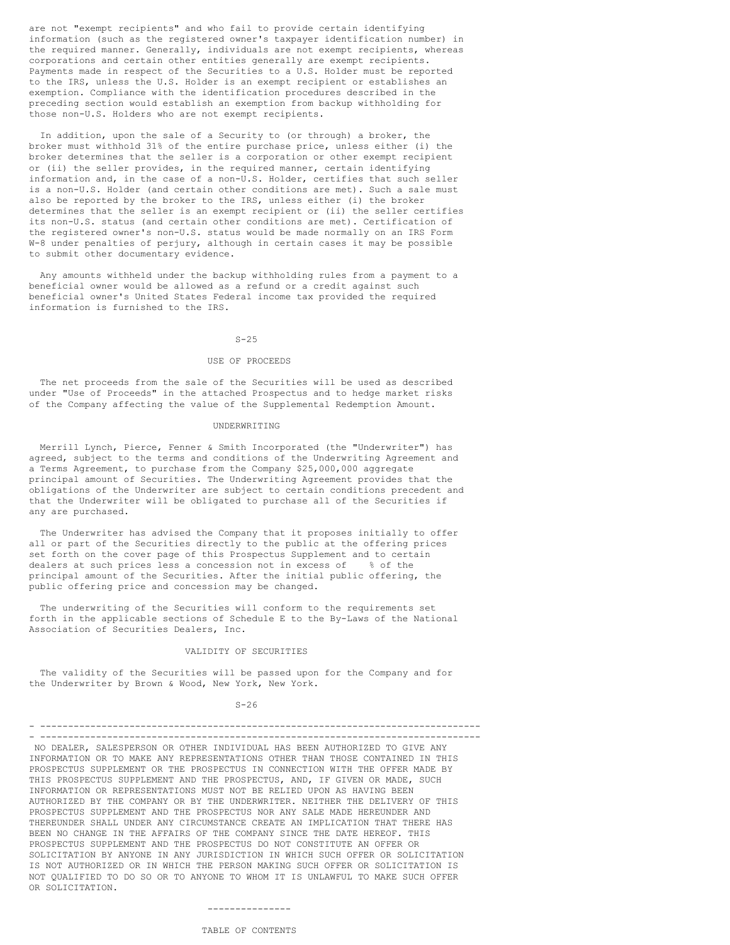are not "exempt recipients" and who fail to provide certain identifying information (such as the registered owner's taxpayer identification number) in the required manner. Generally, individuals are not exempt recipients, whereas corporations and certain other entities generally are exempt recipients. Payments made in respect of the Securities to a U.S. Holder must be reported to the IRS, unless the U.S. Holder is an exempt recipient or establishes an exemption. Compliance with the identification procedures described in the preceding section would establish an exemption from backup withholding for those non-U.S. Holders who are not exempt recipients.

In addition, upon the sale of a Security to (or through) a broker, the broker must withhold 31% of the entire purchase price, unless either (i) the broker determines that the seller is a corporation or other exempt recipient or (ii) the seller provides, in the required manner, certain identifying information and, in the case of a non-U.S. Holder, certifies that such seller is a non-U.S. Holder (and certain other conditions are met). Such a sale must also be reported by the broker to the IRS, unless either (i) the broker determines that the seller is an exempt recipient or (ii) the seller certifies its non-U.S. status (and certain other conditions are met). Certification of the registered owner's non-U.S. status would be made normally on an IRS Form W-8 under penalties of perjury, although in certain cases it may be possible to submit other documentary evidence.

Any amounts withheld under the backup withholding rules from a payment to a beneficial owner would be allowed as a refund or a credit against such beneficial owner's United States Federal income tax provided the required information is furnished to the IRS.

## $S-25$

### USE OF PROCEEDS

The net proceeds from the sale of the Securities will be used as described under "Use of Proceeds" in the attached Prospectus and to hedge market risks of the Company affecting the value of the Supplemental Redemption Amount.

## UNDERWRITING

Merrill Lynch, Pierce, Fenner & Smith Incorporated (the "Underwriter") has agreed, subject to the terms and conditions of the Underwriting Agreement and a Terms Agreement, to purchase from the Company \$25,000,000 aggregate principal amount of Securities. The Underwriting Agreement provides that the obligations of the Underwriter are subject to certain conditions precedent and that the Underwriter will be obligated to purchase all of the Securities if any are purchased.

The Underwriter has advised the Company that it proposes initially to offer all or part of the Securities directly to the public at the offering prices set forth on the cover page of this Prospectus Supplement and to certain dealers at such prices less a concession not in excess of % of the principal amount of the Securities. After the initial public offering, the public offering price and concession may be changed.

The underwriting of the Securities will conform to the requirements set forth in the applicable sections of Schedule E to the By-Laws of the National Association of Securities Dealers, Inc.

## VALIDITY OF SECURITIES

The validity of the Securities will be passed upon for the Company and for the Underwriter by Brown & Wood, New York, New York.

#### $S - 26$

#### - ------------------------------------------------------------------------------- - -------------------------------------------------------------------------------

NO DEALER, SALESPERSON OR OTHER INDIVIDUAL HAS BEEN AUTHORIZED TO GIVE ANY INFORMATION OR TO MAKE ANY REPRESENTATIONS OTHER THAN THOSE CONTAINED IN THIS PROSPECTUS SUPPLEMENT OR THE PROSPECTUS IN CONNECTION WITH THE OFFER MADE BY THIS PROSPECTUS SUPPLEMENT AND THE PROSPECTUS, AND, IF GIVEN OR MADE, SUCH INFORMATION OR REPRESENTATIONS MUST NOT BE RELIED UPON AS HAVING BEEN AUTHORIZED BY THE COMPANY OR BY THE UNDERWRITER. NEITHER THE DELIVERY OF THIS PROSPECTUS SUPPLEMENT AND THE PROSPECTUS NOR ANY SALE MADE HEREUNDER AND THEREUNDER SHALL UNDER ANY CIRCUMSTANCE CREATE AN IMPLICATION THAT THERE HAS BEEN NO CHANGE IN THE AFFAIRS OF THE COMPANY SINCE THE DATE HEREOF. THIS PROSPECTUS SUPPLEMENT AND THE PROSPECTUS DO NOT CONSTITUTE AN OFFER OR SOLICITATION BY ANYONE IN ANY JURISDICTION IN WHICH SUCH OFFER OR SOLICITATION IS NOT AUTHORIZED OR IN WHICH THE PERSON MAKING SUCH OFFER OR SOLICITATION IS NOT QUALIFIED TO DO SO OR TO ANYONE TO WHOM IT IS UNLAWFUL TO MAKE SUCH OFFER OR SOLICITATION.

## ---------------

# TABLE OF CONTENTS